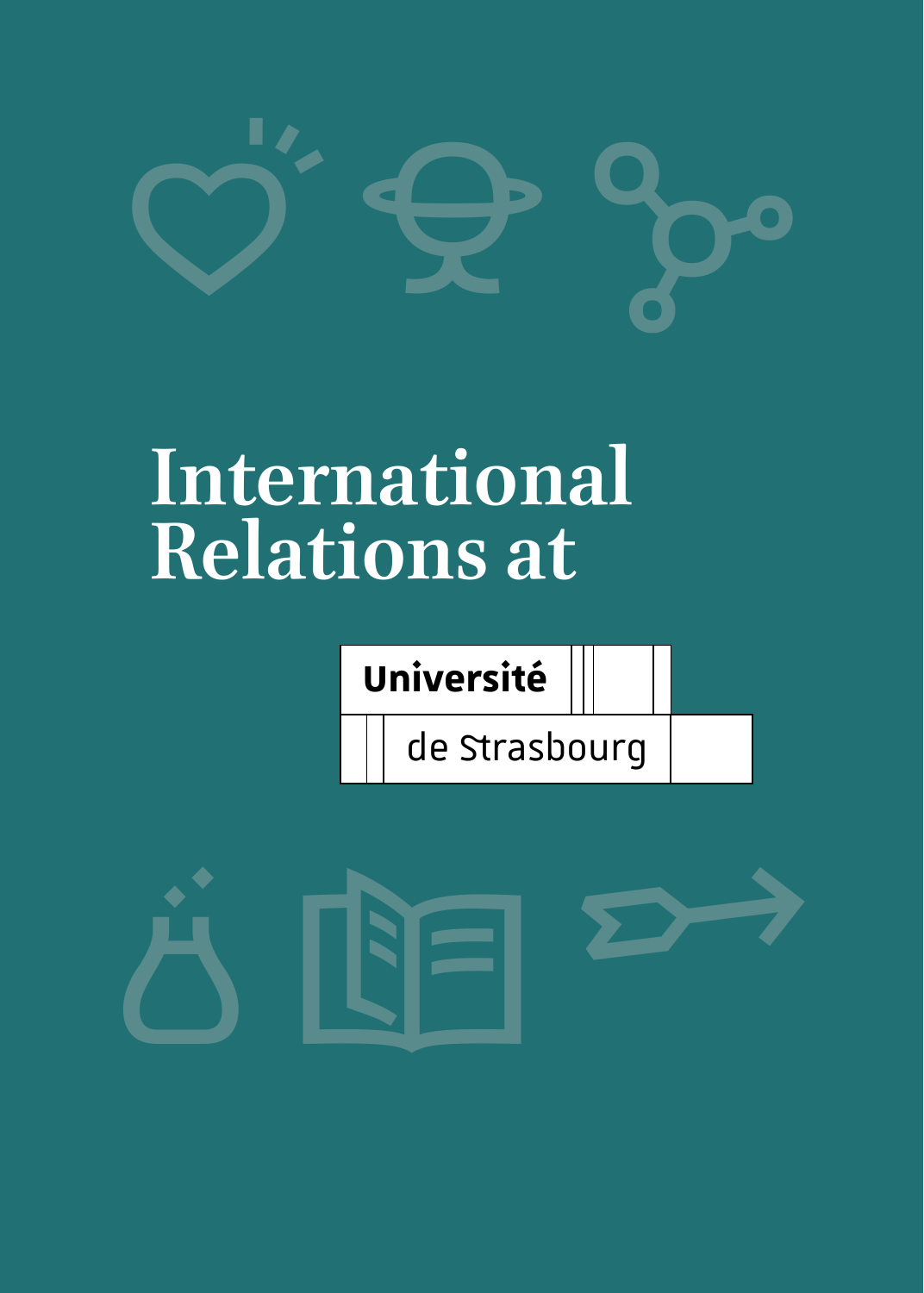

# **International Relations at**

**Université**

de Strasbourg

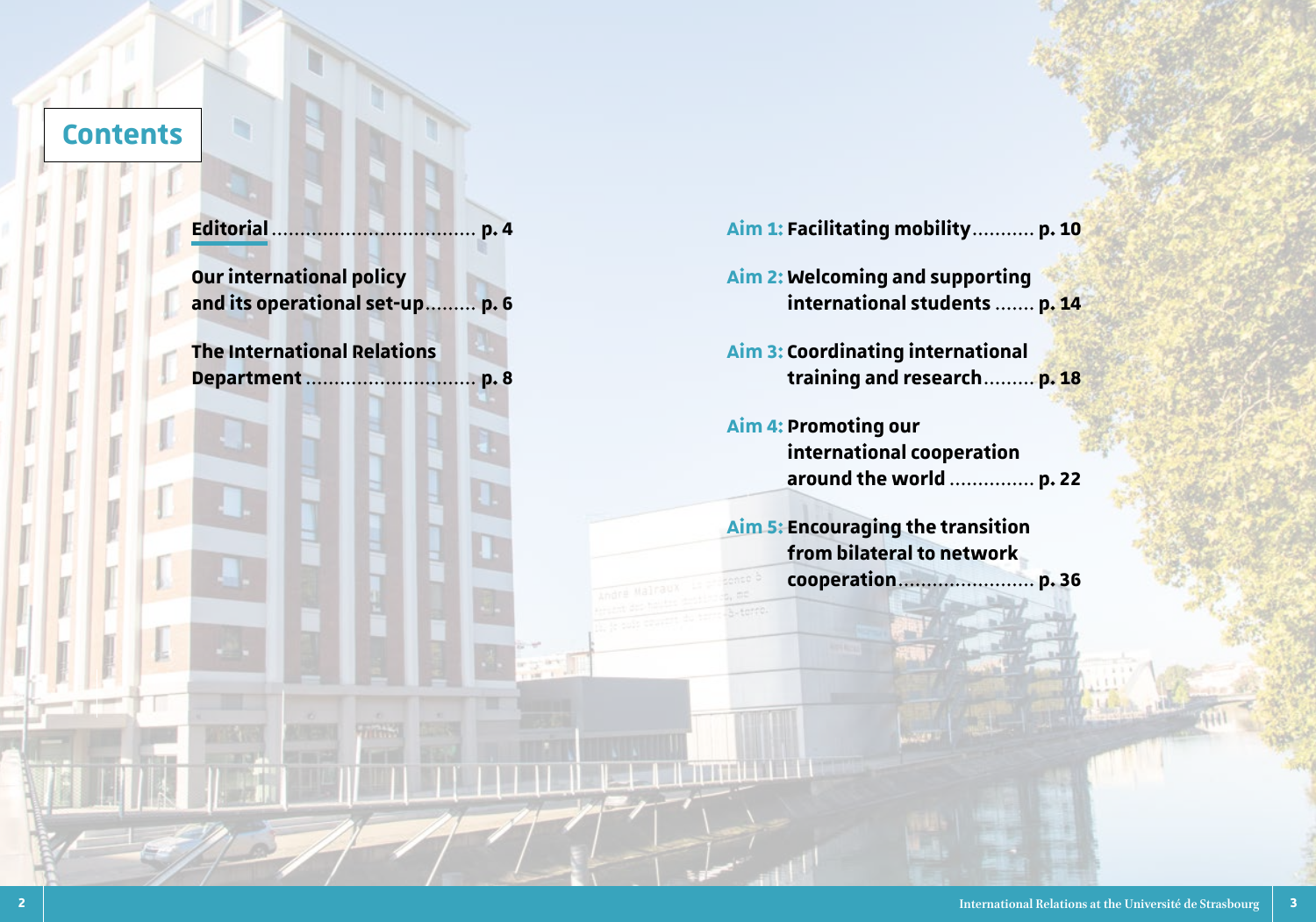### **Contents**

b

|                                                                    | Aim 1: Facilitating mobility p. 10                                                  |  |  |
|--------------------------------------------------------------------|-------------------------------------------------------------------------------------|--|--|
| <b>Our international policy</b><br>and its operational set-up p. 6 | Aim 2: Welcoming and supporting<br>international students  p. 14                    |  |  |
| <b>The International Relations</b>                                 | <b>Aim 3: Coordinating international</b><br>training and research p. 18             |  |  |
|                                                                    | <b>Aim 4: Promoting our</b><br>international cooperation<br>around the world  p. 22 |  |  |
|                                                                    | <b>Aim 5: Encouraging the transition</b><br>from bilateral to network               |  |  |
|                                                                    |                                                                                     |  |  |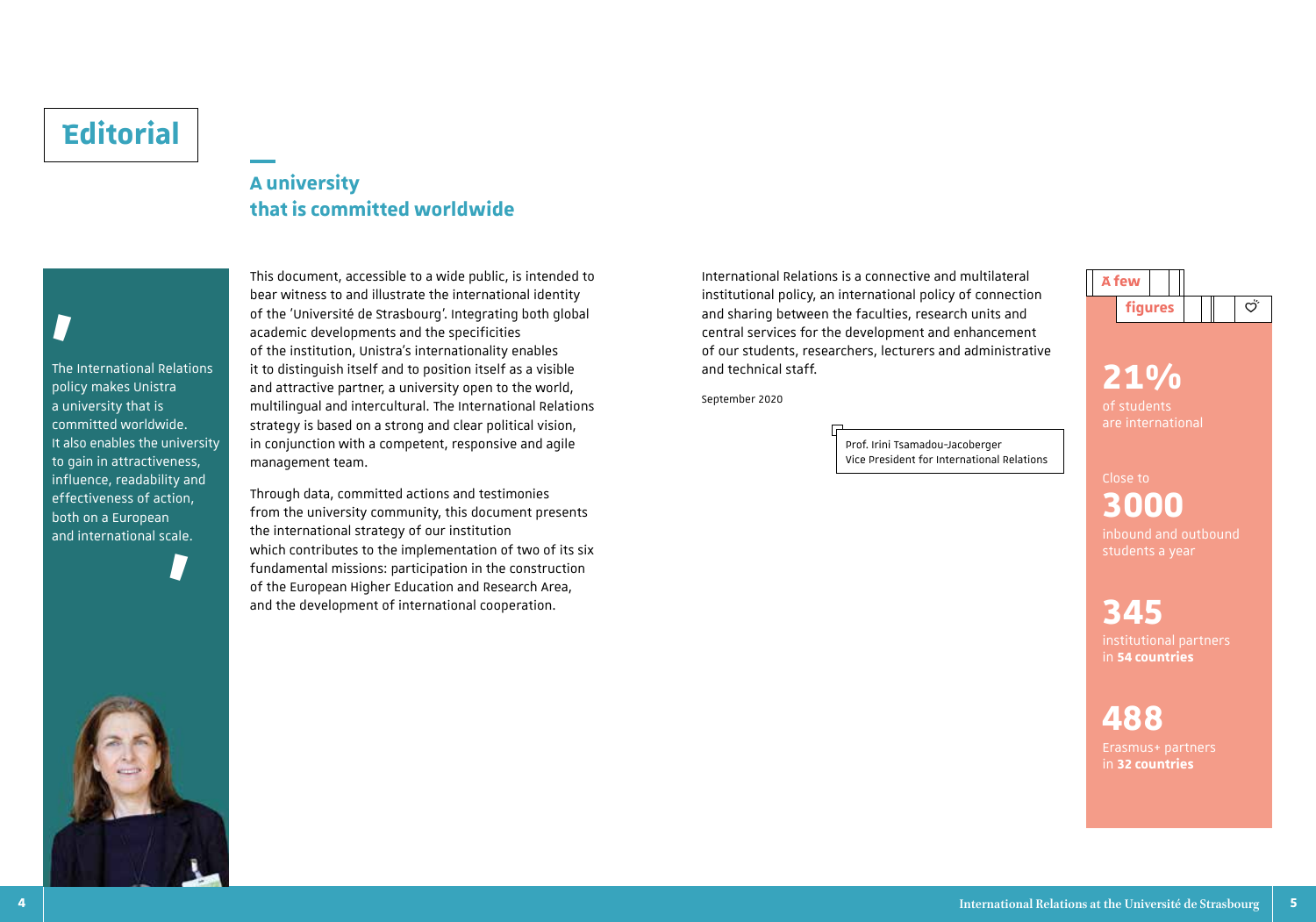## **Editorial**

### **A university that is committed worldwide**

# **'**

The International Relations policy makes Unistra a university that is committed worldwide. It also enables the university to gain in attractiveness, influence, readability and effectiveness of action, both on a European and international scale.

**'**

bear witness to and illustrate the international identity of the 'Université de Strasbourg'. Integrating both global academic developments and the specificities of the institution, Unistra's internationality enables it to distinguish itself and to position itself as a visible and attractive partner, a university open to the world, multilingual and intercultural. The International Relations strategy is based on a strong and clear political vision, in conjunction with a competent, responsive and agile management team.

This document, accessible to a wide public, is intended to

Through data, committed actions and testimonies from the university community, this document presents the international strategy of our institution which contributes to the implementation of two of its six fundamental missions: participation in the construction of the European Higher Education and Research Area, and the development of international cooperation.

International Relations is a connective and multilateral institutional policy, an international policy of connection and sharing between the faculties, research units and central services for the development and enhancement of our students, researchers, lecturers and administrative and technical staff.

September 2020

Prof. Irini Tsamadou-Jacoberger Vice President for International Relations



**21%** are international

Close to **3000** inbound and outbound

### **345**

institutional partners in **54 countries** 

# **488**

Erasmus+ partners in **32 countries**

**4 International Relations at the Université de Strasbourg 5**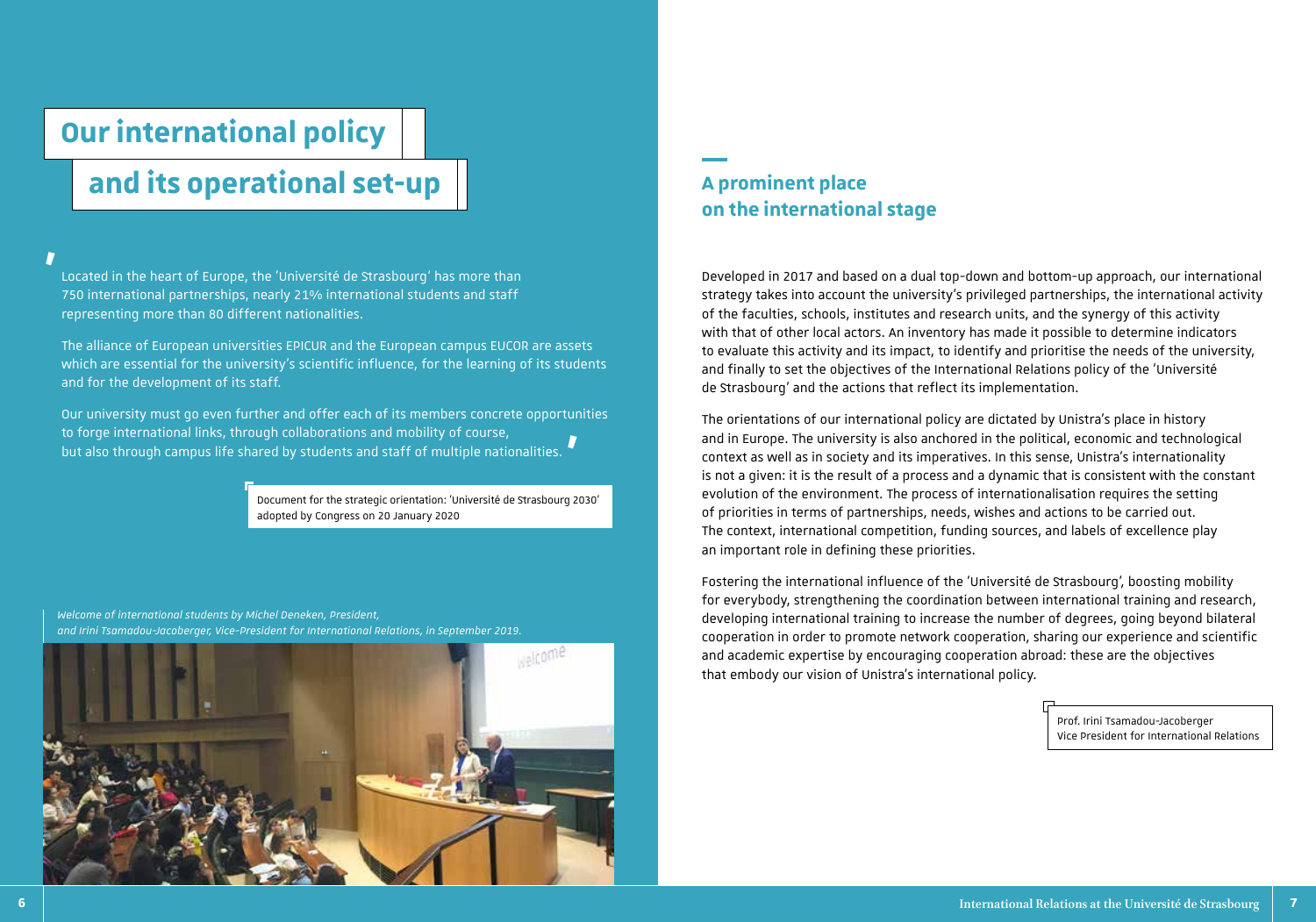# **Our international policy**

# **and its operational set-up**

### **'**

Located in the heart of Europe, the 'Université de Strasbourg' has more than 750 international partnerships, nearly 21% international students and staff representing more than 80 different nationalities.

The alliance of European universities EPICUR and the European campus EUCOR are assets which are essential for the university's scientific influence, for the learning of its students and for the development of its staff.

Our university must go even further and offer each of its members concrete opportunities to forge international links, through collaborations and mobility of course, but also through campus life shared by students and staff of multiple nationalities. **'**

> Document for the strategic orientation: 'Université de Strasbourg 2030' adopted by Congress on 20 January 2020



### **A prominent place on the international stage**

Developed in 2017 and based on a dual top-down and bottom-up approach, our international strategy takes into account the university's privileged partnerships, the international activity of the faculties, schools, institutes and research units, and the synergy of this activity with that of other local actors. An inventory has made it possible to determine indicators to evaluate this activity and its impact, to identify and prioritise the needs of the university, and finally to set the objectives of the International Relations policy of the 'Université de Strasbourg' and the actions that reflect its implementation.

The orientations of our international policy are dictated by Unistra's place in history and in Europe. The university is also anchored in the political, economic and technological context as well as in society and its imperatives. In this sense, Unistra's internationality is not a given: it is the result of a process and a dynamic that is consistent with the constant evolution of the environment. The process of internationalisation requires the setting of priorities in terms of partnerships, needs, wishes and actions to be carried out. The context, international competition, funding sources, and labels of excellence play an important role in defining these priorities.

Fostering the international influence of the 'Université de Strasbourg', boosting mobility for everybody, strengthening the coordination between international training and research, developing international training to increase the number of degrees, going beyond bilateral cooperation in order to promote network cooperation, sharing our experience and scientific and academic expertise by encouraging cooperation abroad: these are the objectives that embody our vision of Unistra's international policy.

> Prof. Irini Tsamadou-Jacoberger Vice President for International Relations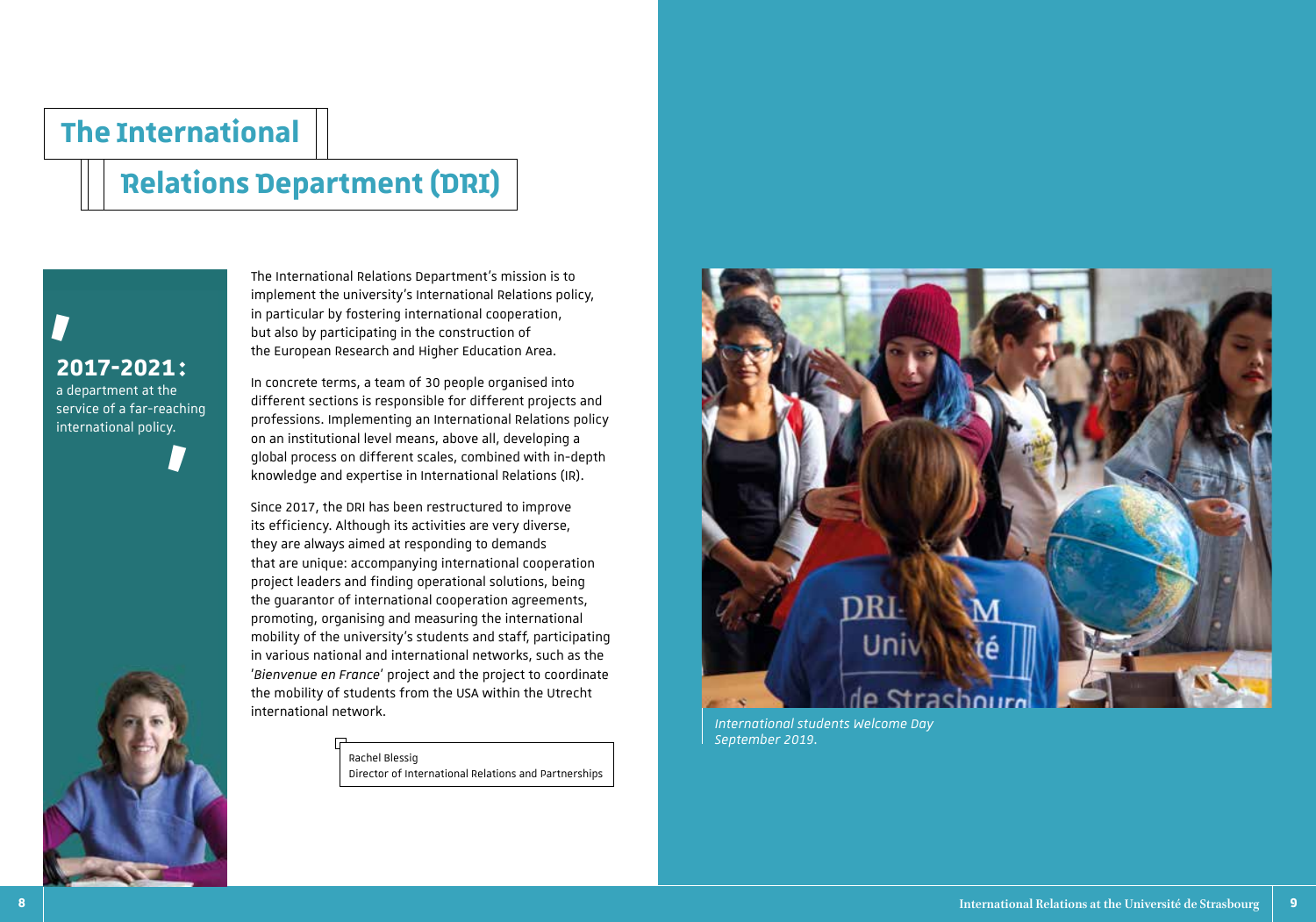## **The International**

# **Relations Department (DRI)**

**2017-2021 :** a department at the service of a far-reaching international policy. **'**



The International Relations Department's mission is to implement the university's International Relations policy, in particular by fostering international cooperation, but also by participating in the construction of the European Research and Higher Education Area.

In concrete terms, a team of 30 people organised into different sections is responsible for different projects and professions. Implementing an International Relations policy on an institutional level means, above all, developing a global process on different scales, combined with in-depth knowledge and expertise in International Relations (IR).

Since 2017, the DRI has been restructured to improve its efficiency. Although its activities are very diverse, they are always aimed at responding to demands that are unique: accompanying international cooperation project leaders and finding operational solutions, being the guarantor of international cooperation agreements, promoting, organising and measuring the international mobility of the university's students and staff, participating in various national and international networks, such as the '*Bienvenue en France*' project and the project to coordinate the mobility of students from the USA within the Utrecht international network.

### Rachel Blessig

Director of International Relations and Partnerships



*International students Welcome Day September 2019.*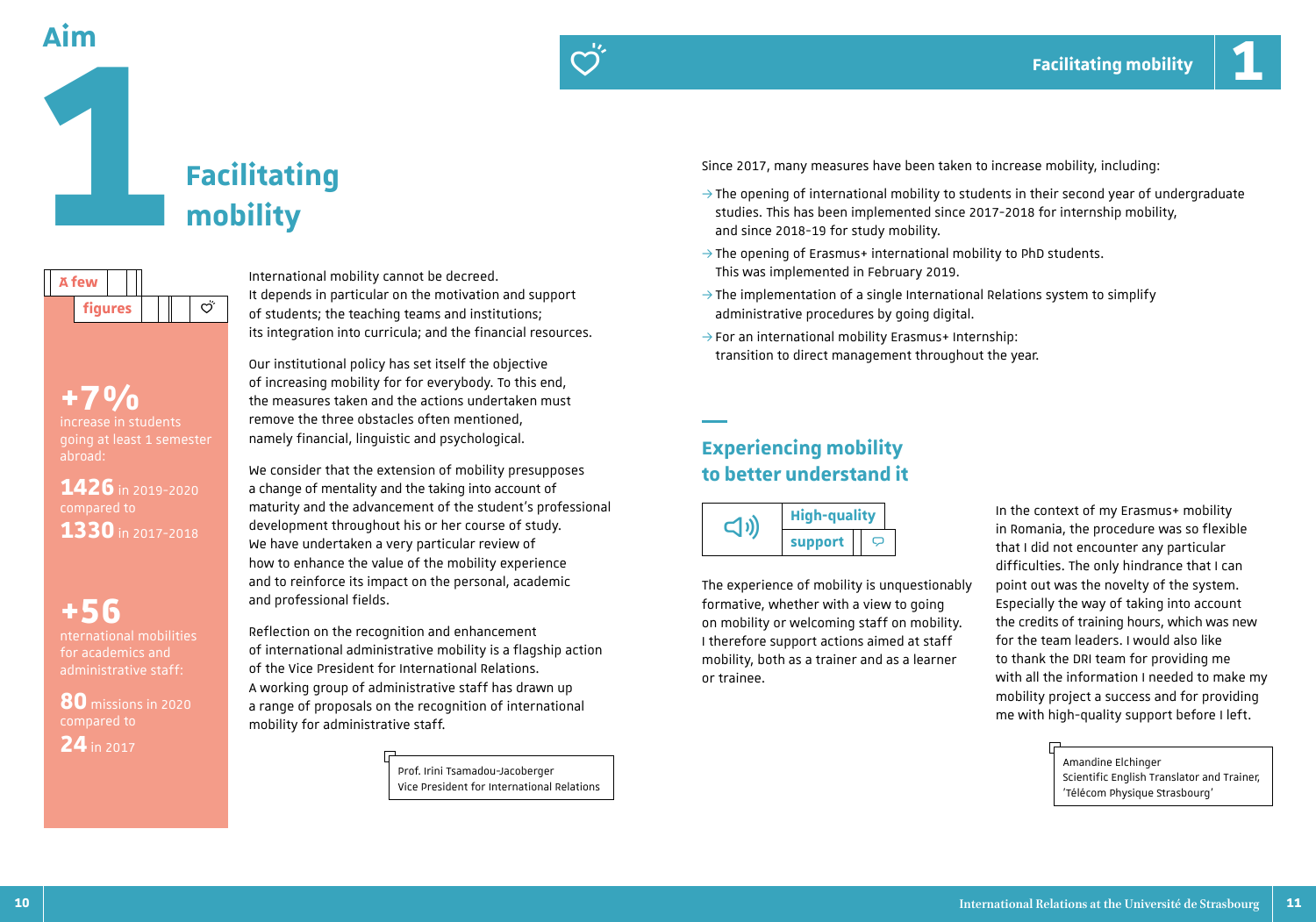**A few** 

**1**



International mobility cannot be decreed. It depends in particular on the motivation and support of students; the teaching teams and institutions;

**+7%**  increase in students going at least 1 semester abroad:

**figures**  $\left| \begin{array}{c} \| \end{array} \right| \left| \begin{array}{c} \circ \circ \end{array} \right|$ 

**1426** in 2019-2020 compared to **1330** in 2017-2018

**+56** nternational mobilities for academics and administrative staff:

**80** missions in 2020 compared to **24** in 2017

its integration into curricula; and the financial resources. Our institutional policy has set itself the objective

di.

of increasing mobility for for everybody. To this end, the measures taken and the actions undertaken must remove the three obstacles often mentioned, namely financial, linguistic and psychological.

We consider that the extension of mobility presupposes a change of mentality and the taking into account of maturity and the advancement of the student's professional development throughout his or her course of study. We have undertaken a very particular review of how to enhance the value of the mobility experience and to reinforce its impact on the personal, academic and professional fields.

Reflection on the recognition and enhancement of international administrative mobility is a flagship action of the Vice President for International Relations. A working group of administrative staff has drawn up a range of proposals on the recognition of international mobility for administrative staff.

> Prof. Irini Tsamadou-Jacoberger Vice President for International Relations

Since 2017, many measures have been taken to increase mobility, including:

- $\rightarrow$  The opening of international mobility to students in their second year of undergraduate studies. This has been implemented since 2017-2018 for internship mobility, and since 2018-19 for study mobility.
- $\rightarrow$  The opening of Erasmus+ international mobility to PhD students. This was implemented in February 2019.
- $\rightarrow$  The implementation of a single International Relations system to simplify administrative procedures by going digital.
- $\rightarrow$  For an international mobility Erasmus+ Internship: transition to direct management throughout the year.

### **Experiencing mobility to better understand it**



The experience of mobility is unquestionably formative, whether with a view to going on mobility or welcoming staff on mobility. I therefore support actions aimed at staff mobility, both as a trainer and as a learner or trainee.

In the context of my Erasmus+ mobility in Romania, the procedure was so flexible that I did not encounter any particular difficulties. The only hindrance that I can point out was the novelty of the system. Especially the way of taking into account the credits of training hours, which was new for the team leaders. I would also like to thank the DRI team for providing me with all the information I needed to make my mobility project a success and for providing me with high-quality support before I left.

> Amandine Elchinger Scientific English Translator and Trainer, 'Télécom Physique Strasbourg'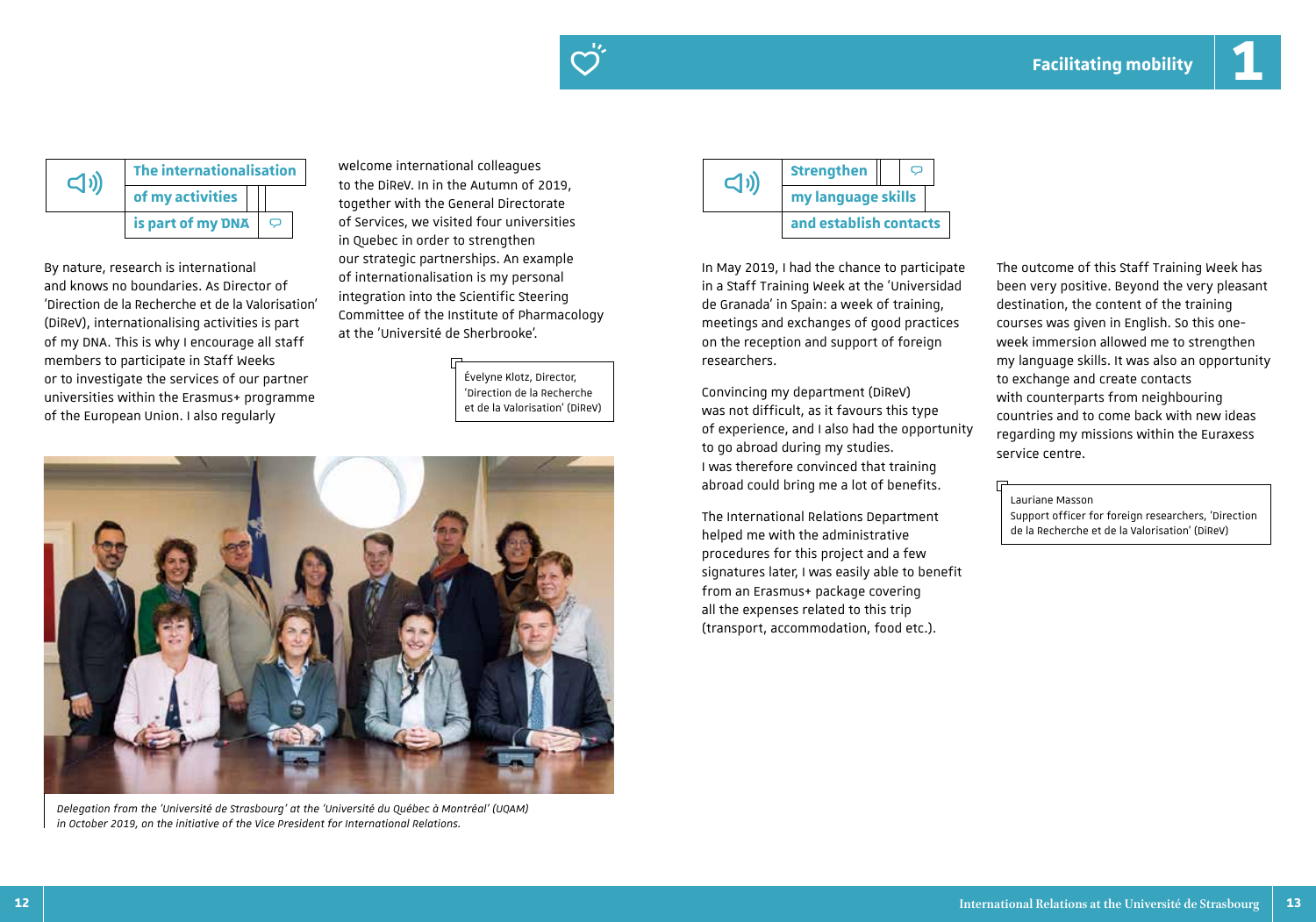



By nature, research is international and knows no boundaries. As Director of 'Direction de la Recherche et de la Valorisation' (DiReV), internationalising activities is part of my DNA. This is why I encourage all staff members to participate in Staff Weeks or to investigate the services of our partner universities within the Erasmus+ programme of the European Union. I also regularly

The internationalisation welcome international colleagues<br>
to the DiReV. In in the Autumn of 2019, of my activities **of the State of the Construction of the Constraint of Edge** and Street and Directorate and Directorate **is part of my DNA**  $\boxed{\heartsuit}$  of Services, we visited four universities **of the contacts** in Quebec in order to strengthen our strategic partnerships. An example of internationalisation is my personal integration into the Scientific Steering Committee of the Institute of Pharmacology at the 'Université de Sherbrooke'.

> Évelyne Klotz, Director, 'Direction de la Recherche et de la Valorisation' (DiReV)



*Delegation from the 'Université de Strasbourg' at the 'Université du Québec à Montréal' (UQAM) in October 2019, on the initiative of the Vice President for International Relations.* 



In May 2019, I had the chance to participate in a Staff Training Week at the 'Universidad de Granada' in Spain: a week of training, meetings and exchanges of good practices on the reception and support of foreign researchers.

Convincing my department (DiReV) was not difficult, as it favours this type of experience, and I also had the opportunity to go abroad during my studies. I was therefore convinced that training abroad could bring me a lot of benefits.

The International Relations Department helped me with the administrative procedures for this project and a few signatures later, I was easily able to benefit from an Erasmus+ package covering all the expenses related to this trip (transport, accommodation, food etc.).

The outcome of this Staff Training Week has been very positive. Beyond the very pleasant destination, the content of the training courses was given in English. So this oneweek immersion allowed me to strengthen my language skills. It was also an opportunity to exchange and create contacts with counterparts from neighbouring countries and to come back with new ideas regarding my missions within the Euraxess service centre.

### Lauriane Masson

Support officer for foreign researchers, 'Direction de la Recherche et de la Valorisation' (DiReV)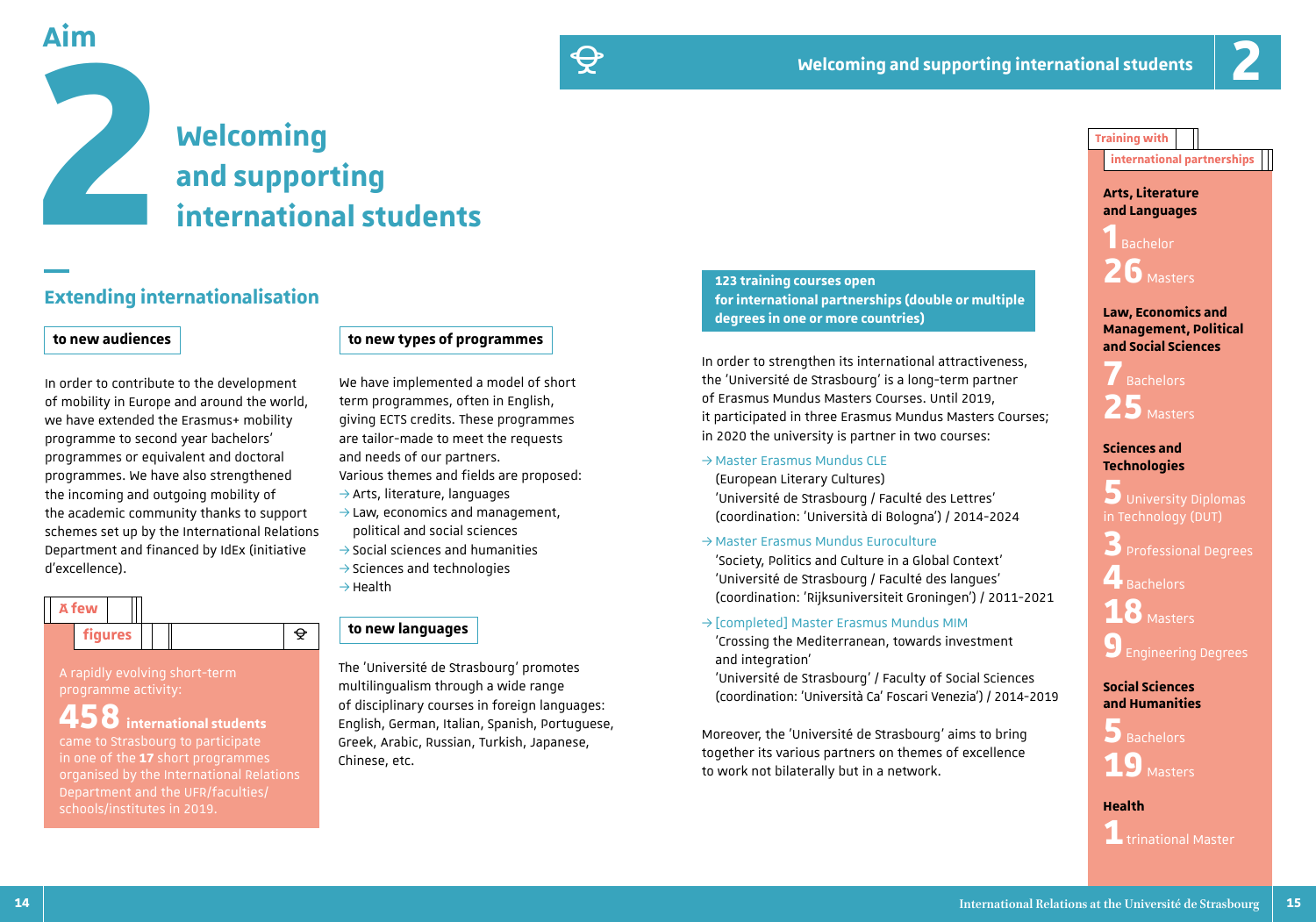# **Welcoming aim**<br> **and supporting and supporting international students**

### **Extending internationalisation**

### **to new audiences**

In order to contribute to the development of mobility in Europe and around the world, we have extended the Erasmus+ mobility programme to second year bachelors' programmes or equivalent and doctoral programmes. We have also strengthened the incoming and outgoing mobility of the academic community thanks to support schemes set up by the International Relations Department and financed by IdEx (initiative d'excellence).

| <b>A</b> few |  |                |  |   |  |
|--------------|--|----------------|--|---|--|
|              |  | <b>figures</b> |  | ⌒ |  |

### A rapidly evolving short-term programme activity:

**458 international students**  came to Strasbourg to participate in one of the **17** short programmes organised by the International Relations Department and the UFR/faculties/ schools/institutes in 2019.

### **to new types of programmes**

È

We have implemented a model of short term programmes, often in English, giving ECTS credits. These programmes are tailor-made to meet the requests and needs of our partners. Various themes and fields are proposed:  $\rightarrow$  Arts, literature, languages

- $\rightarrow$  Law, economics and management,
- political and social sciences  $\rightarrow$  Social sciences and humanities
- $\rightarrow$  Sciences and technologies  $\rightarrow$ Health

### **to new languages**

The 'Université de Strasbourg' promotes multilingualism through a wide range of disciplinary courses in foreign languages: English, German, Italian, Spanish, Portuguese, Greek, Arabic, Russian, Turkish, Japanese, Chinese, etc.

**123 training courses open for international partnerships (double or multiple degrees in one or more countries)**

In order to strengthen its international attractiveness, the 'Université de Strasbourg' is a long-term partner of Erasmus Mundus Masters Courses. Until 2019, it participated in three Erasmus Mundus Masters Courses; in 2020 the university is partner in two courses:

 $\rightarrow$  Master Erasmus Mundus CLE

(European Literary Cultures) 'Université de Strasbourg / Faculté des Lettres' (coordination: 'Università di Bologna') / 2014-2024

 $\rightarrow$  Master Erasmus Mundus Euroculture

'Society, Politics and Culture in a Global Context' 'Université de Strasbourg / Faculté des langues' (coordination: 'Rijksuniversiteit Groningen') / 2011-2021

 $\rightarrow$  [completed] Master Erasmus Mundus MIM

'Crossing the Mediterranean, towards investment and integration'

'Université de Strasbourg' / Faculty of Social Sciences (coordination: 'Università Ca' Foscari Venezia') / 2014-2019

Moreover, the 'Université de Strasbourg' aims to bring together its various partners on themes of excellence to work not bilaterally but in a network.

### **Training with**

**international partnerships**

### **Arts, Literature and Languages**

**1** Bachelor **26** Masters

### **Law, Economics and Management, Political and Social Sciences**

**7** Bachelors 25<sub>Masters</sub>

### **Sciences and Technologies**

**5** University Diplomas in Technology (DUT)

**3** Professional Degrees

**4** Bachelors **18**Masters

**9**Engineering Degrees

### **Social Sciences and Humanities**

**5** Bachelors **19**Masters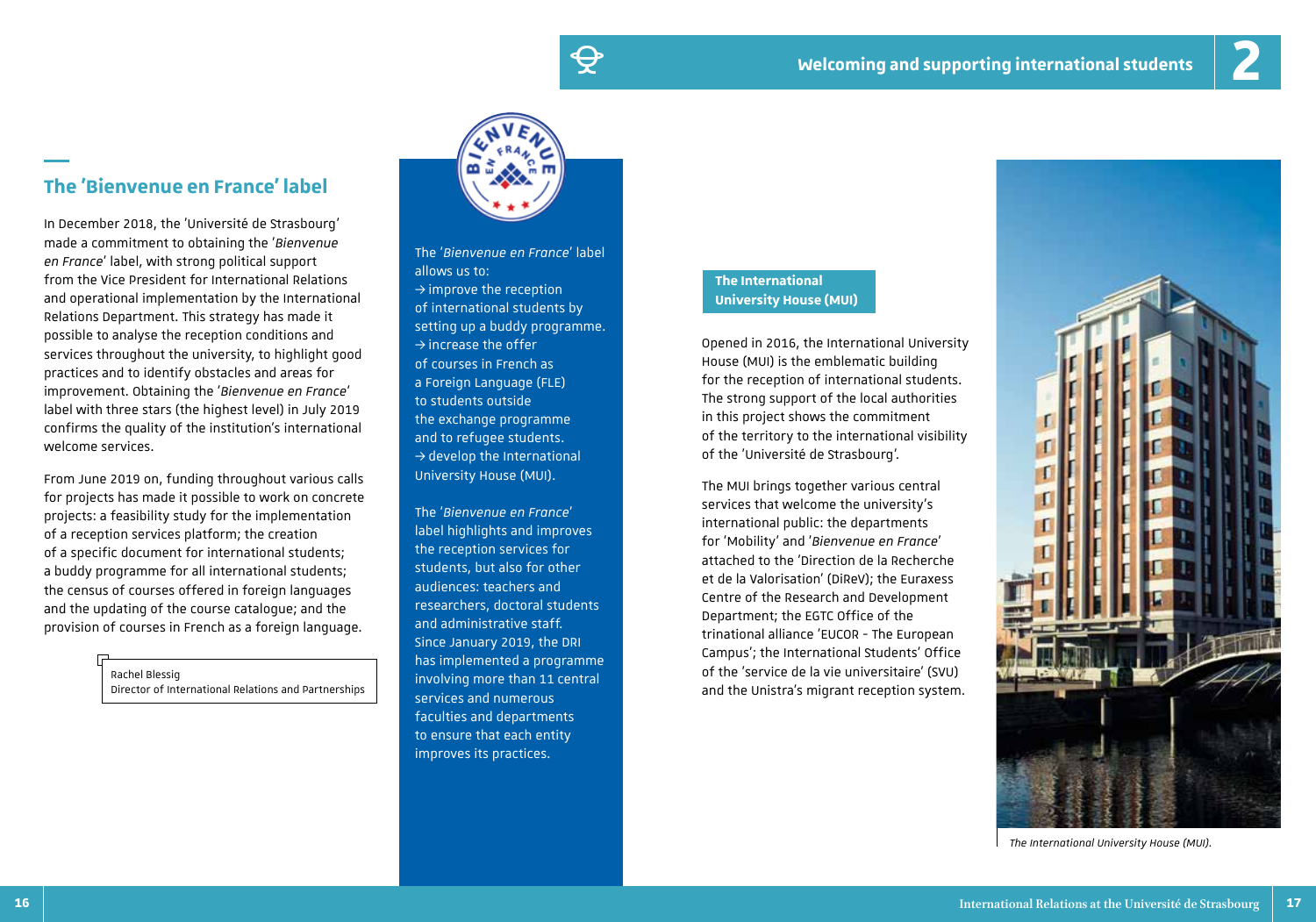# È

### **The 'Bienvenue en France' label**

In December 2018, the 'Université de Strasbourg' made a commitment to obtaining the '*Bienvenue en France*' label, with strong political support from the Vice President for International Relations and operational implementation by the International Relations Department. This strategy has made it possible to analyse the reception conditions and services throughout the university, to highlight good practices and to identify obstacles and areas for improvement. Obtaining the '*Bienvenue en France*' label with three stars (the highest level) in July 2019 confirms the quality of the institution's international welcome services.

From June 2019 on, funding throughout various calls for projects has made it possible to work on concrete projects: a feasibility study for the implementation of a reception services platform; the creation of a specific document for international students; a buddy programme for all international students; the census of courses offered in foreign languages and the updating of the course catalogue; and the provision of courses in French as a foreign language.

> Rachel Blessig Director of International Relations and Partnerships



The '*Bienvenue en France*' label allows us to:  $\rightarrow$  improve the reception of international students by setting up a buddy programme.  $\rightarrow$  increase the offer of courses in French as a Foreign Language (FLE) to students outside the exchange programme and to refugee students.  $\rightarrow$  develop the International University House (MUI).

The '*Bienvenue en France*' label highlights and improves the reception services for students, but also for other audiences: teachers and researchers, doctoral students and administrative staff. Since January 2019, the DRI has implemented a programme involving more than 11 central services and numerous faculties and departments to ensure that each entity improves its practices.

### **The International University House (MUI)**

Opened in 2016, the International University House (MUI) is the emblematic building for the reception of international students. The strong support of the local authorities in this project shows the commitment of the territory to the international visibility of the 'Université de Strasbourg'.

The MUI brings together various central services that welcome the university's international public: the departments for 'Mobility' and '*Bienvenue en France*' attached to the 'Direction de la Recherche et de la Valorisation' (DiReV); the Euraxess Centre of the Research and Development Department; the EGTC Office of the trinational alliance 'EUCOR - The European Campus'; the International Students' Office of the 'service de la vie universitaire' (SVU) and the Unistra's migrant reception system.



*The International University House (MUI).*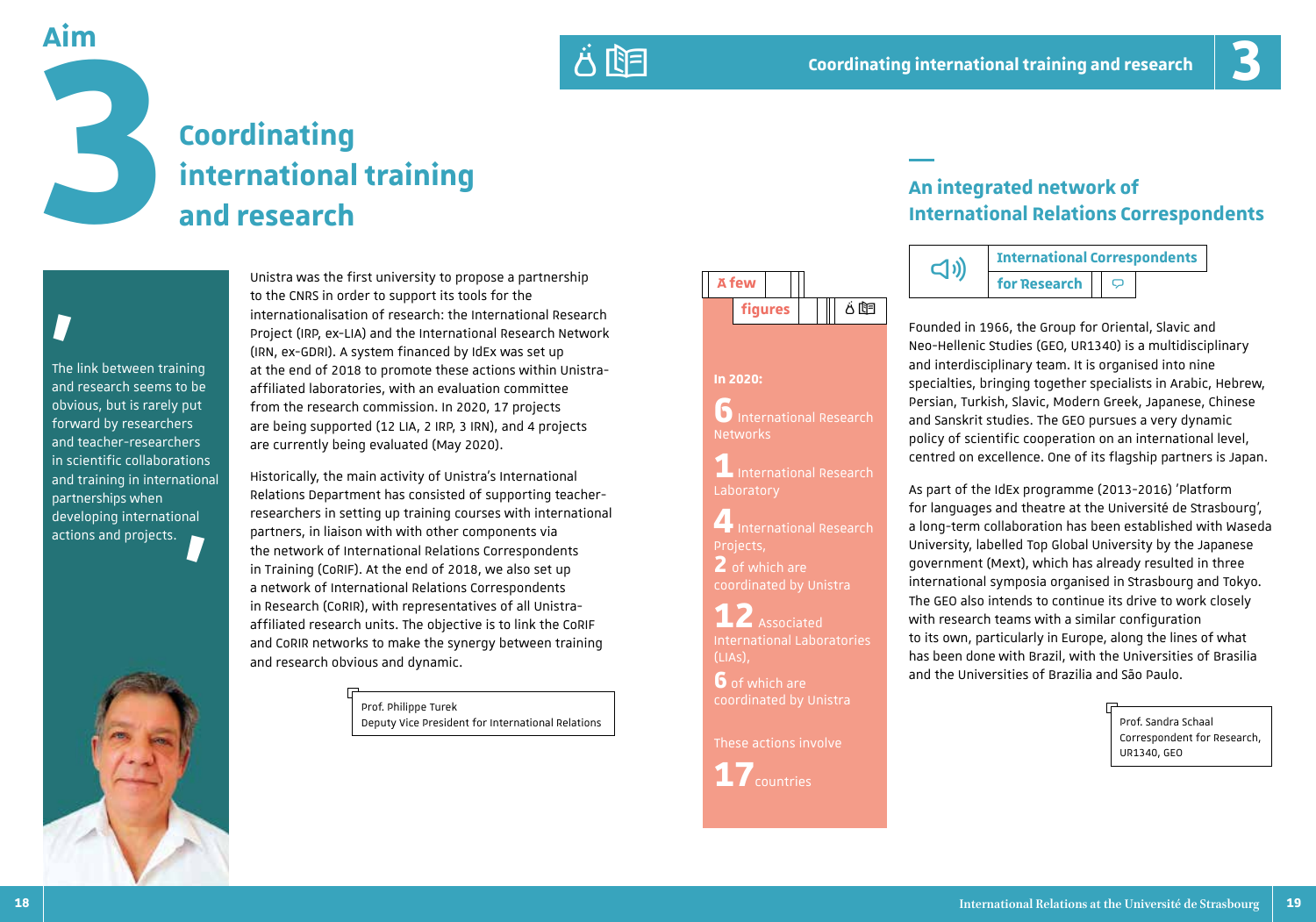**An integrated network of** 





# **Coordinating international training**<br> **international training**<br> **and research**

## The link between training **'**

and research seems to be obvious, but is rarely put forward by researchers and teacher-researchers in scientific collaborations and training in international partnerships when developing international actions and projects. **'**



Unistra was the first university to propose a partnership to the CNRS in order to support its tools for the internationalisation of research: the International Research Project (IRP, ex-LIA) and the International Research Network (IRN, ex-GDRI). A system financed by IdEx was set up at the end of 2018 to promote these actions within Unistraaffiliated laboratories, with an evaluation committee from the research commission. In 2020, 17 projects are being supported (12 LIA, 2 IRP, 3 IRN), and 4 projects are currently being evaluated (May 2020).

Historically, the main activity of Unistra's International Relations Department has consisted of supporting teacherresearchers in setting up training courses with international partners, in liaison with with other components via the network of International Relations Correspondents in Training (CoRIF). At the end of 2018, we also set up a network of International Relations Correspondents in Research (CoRIR), with representatives of all Unistraaffiliated research units. The objective is to link the CoRIF and CoRIR networks to make the synergy between training and research obvious and dynamic.

> Prof. Philippe Turek Deputy Vice President for International Relations



**6** International Research

**1** International Research

**4** International Research

**12** Associated International Laboratories

**In 2020:**

Networks

Projects, **2** of which are coordinated by Unistra

(LIAs),

**6** of which are coordinated by Unistra

**17**countries

These actions involve







Founded in 1966, the Group for Oriental, Slavic and Neo-Hellenic Studies (GEO, UR1340) is a multidisciplinary and interdisciplinary team. It is organised into nine specialties, bringing together specialists in Arabic, Hebrew, Persian, Turkish, Slavic, Modern Greek, Japanese, Chinese and Sanskrit studies. The GEO pursues a very dynamic policy of scientific cooperation on an international level, centred on excellence. One of its flagship partners is Japan.

As part of the IdEx programme (2013-2016) 'Platform for languages and theatre at the Université de Strasbourg', a long-term collaboration has been established with Waseda University, labelled Top Global University by the Japanese government (Mext), which has already resulted in three international symposia organised in Strasbourg and Tokyo. The GEO also intends to continue its drive to work closely with research teams with a similar configuration to its own, particularly in Europe, along the lines of what has been done with Brazil, with the Universities of Brasilia and the Universities of Brazilia and São Paulo.

> Prof. Sandra Schaal Correspondent for Research, UR1340, GEO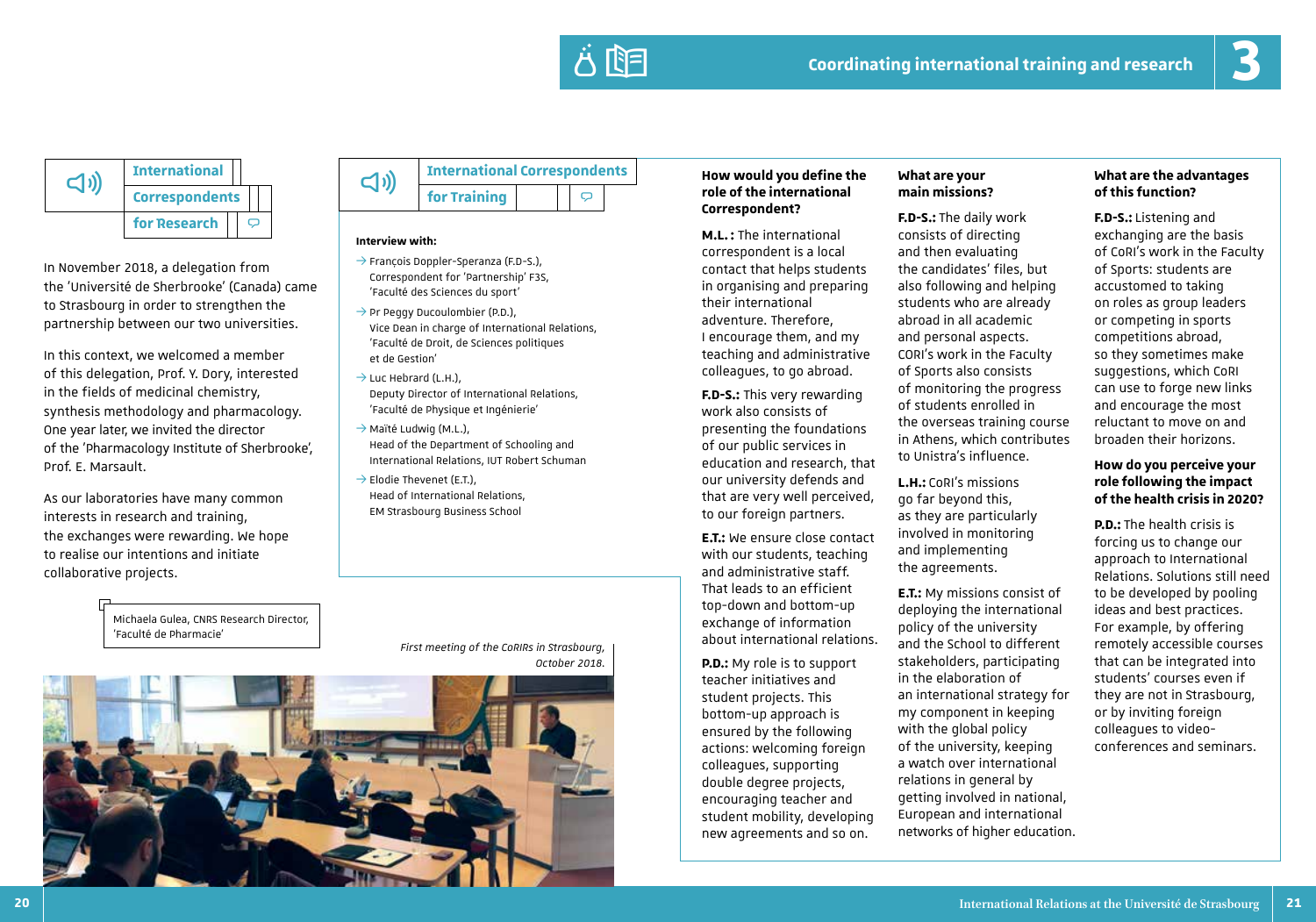

**International Correspondents for Research**  $\Box$ 

In November 2018, a delegation from the 'Université de Sherbrooke' (Canada) came to Strasbourg in order to strengthen the partnership between our two universities.

In this context, we welcomed a member of this delegation, Prof. Y. Dory, interested in the fields of medicinal chemistry, synthesis methodology and pharmacology. One year later, we invited the director of the 'Pharmacology Institute of Sherbrooke', Prof. E. Marsault.

As our laboratories have many common interests in research and training, the exchanges were rewarding. We hope to realise our intentions and initiate collaborative projects.



### **Interview with:**

- $\rightarrow$  François Doppler-Speranza (F.D-S.), Correspondent for 'Partnership' F3S, 'Faculté des Sciences du sport'
- $\rightarrow$  Pr Peggy Ducoulombier (P.D.), Vice Dean in charge of International Relations, 'Faculté de Droit, de Sciences politiques et de Gestion'
- $\rightarrow$  Luc Hebrard (L.H.), Deputy Director of International Relations, 'Faculté de Physique et Ingénierie'
- $\rightarrow$  Maïté Ludwig (M.L.), Head of the Department of Schooling and International Relations, IUT Robert Schuman
- $\rightarrow$  Elodie Thevenet (E.T.). Head of International Relations, EM Strasbourg Business School

### **role of the international Correspondent?**

**M.L. :** The international correspondent is a local contact that helps students in organising and preparing their international adventure. Therefore, I encourage them, and my teaching and administrative colleagues, to go abroad.

**F.D-S.:** This very rewarding work also consists of presenting the foundations of our public services in education and research, that our university defends and that are very well perceived, to our foreign partners.

**E.T.:** We ensure close contact with our students, teaching and administrative staff. That leads to an efficient top-down and bottom-up exchange of information about international relations.

**P.D.:** My role is to support teacher initiatives and student projects. This bottom-up approach is ensured by the following actions: welcoming foreign colleagues, supporting double degree projects, encouraging teacher and student mobility, developing new agreements and so on.

### **What are your main missions?**

**F.D-S.:** The daily work consists of directing and then evaluating the candidates' files, but also following and helping students who are already abroad in all academic and personal aspects. CORI's work in the Faculty of Sports also consists of monitoring the progress of students enrolled in the overseas training course in Athens, which contributes to Unistra's influence.

**L.H.:** CoRI's missions go far beyond this, as they are particularly involved in monitoring and implementing the agreements.

**E.T.:** My missions consist of deploying the international policy of the university and the School to different stakeholders, participating in the elaboration of an international strategy for my component in keeping with the global policy of the university, keeping a watch over international relations in general by getting involved in national, European and international networks of higher education.

### **What are the advantages of this function?**

**F.D-S.:** Listening and exchanging are the basis of CoRI's work in the Faculty of Sports: students are accustomed to taking on roles as group leaders or competing in sports competitions abroad, so they sometimes make suggestions, which CoRI can use to forge new links and encourage the most reluctant to move on and broaden their horizons.

### **How do you perceive your role following the impact of the health crisis in 2020?**

**P.D.:** The health crisis is forcing us to change our approach to International Relations. Solutions still need to be developed by pooling ideas and best practices. For example, by offering remotely accessible courses that can be integrated into students' courses even if they are not in Strasbourg, or by inviting foreign colleagues to videoconferences and seminars.

### Michaela Gulea, CNRS Research Director, 'Faculté de Pharmacie'

*First meeting of the CoRIRs in Strasbourg, October 2018.*

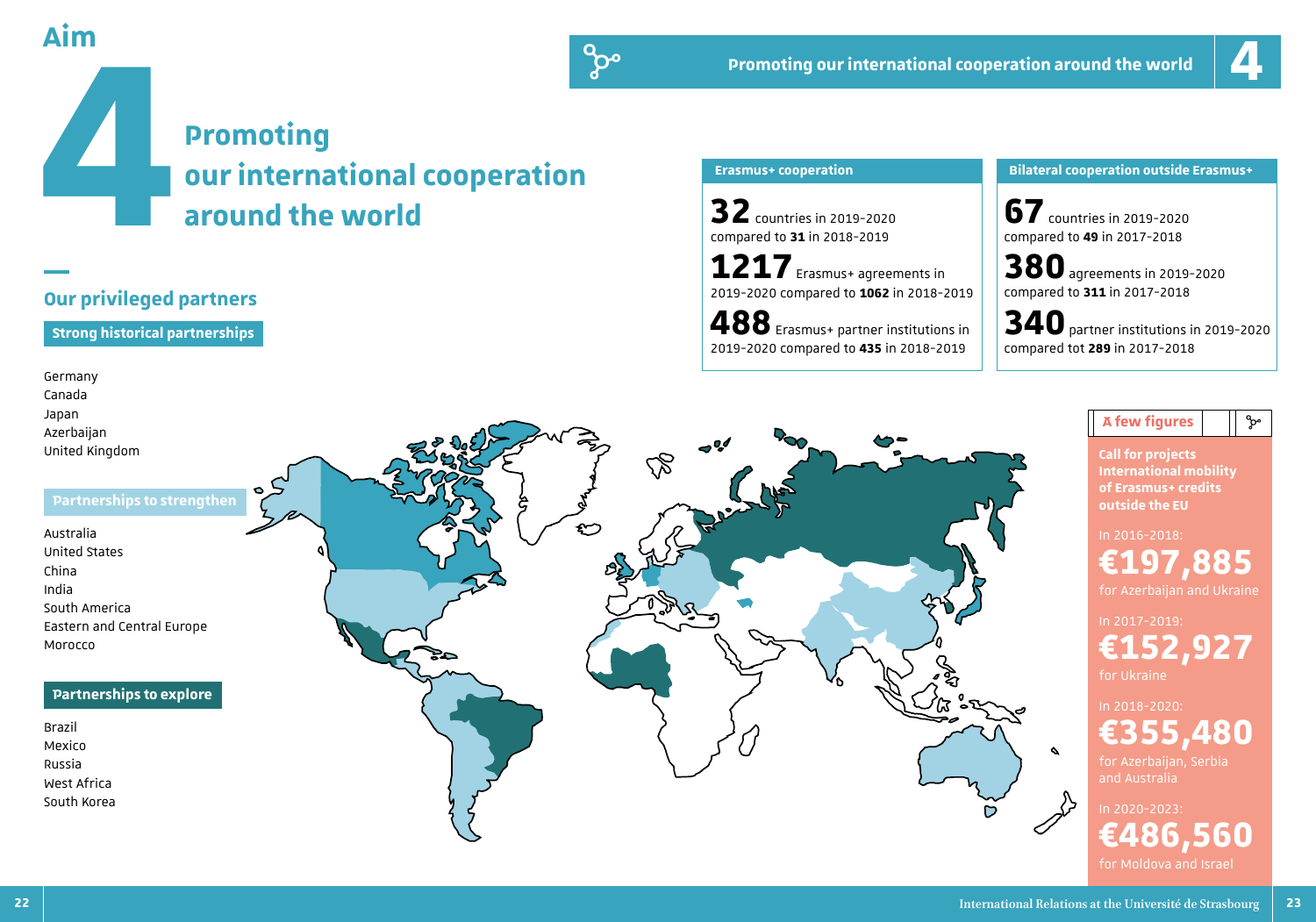

# **Promoting**

Aim<br> **our international cooperation**<br>
around the world<br>
—

### **Our privileged partners**

### **Strong historical partnerships**

### Germany Canada Japan Azerbaijan

United Kingdom

### **Partnerships to strengthen**

Australia United States China India South America Eastern and Central Europe Morocco

### **Partnerships to explore**

Brazil Mexico Russia West Africa South Korea



do

### **Promoting our international cooperation around the world**

# **4**

**32** countries in 2019-2020 compared to **31** in 2018-2019

**1217** Erasmus+ agreements in 2019-2020 compared to **1062** in 2018-2019

**488** Erasmus+ partner institutions in 2019-2020 compared to **435** in 2018-2019

### **Erasmus+ cooperation Bilateral cooperation outside Erasmus+**

**67** countries in 2019-2020 compared to **49** in 2017-2018

**380** agreements in 2019-2020 compared to **311** in 2017-2018

**340** partner institutions in 2019-2020 compared tot **289** in 2017-2018

### **Call for projects International mobility of Erasmus+ credits outside the EU** In 2016-2018: **€197,885**  for Azerbaijan and Ukraine In 2017-2019: **€152,927**  for Ukraine

 $\mathsf{A}$  few figures  $\|\cdot\|$  ೀ

In 2018-2020: **€355,480** 

for Azerbaijan, Serbia and Australia

In 2020-2023: **€486,560**  for Moldova and Israel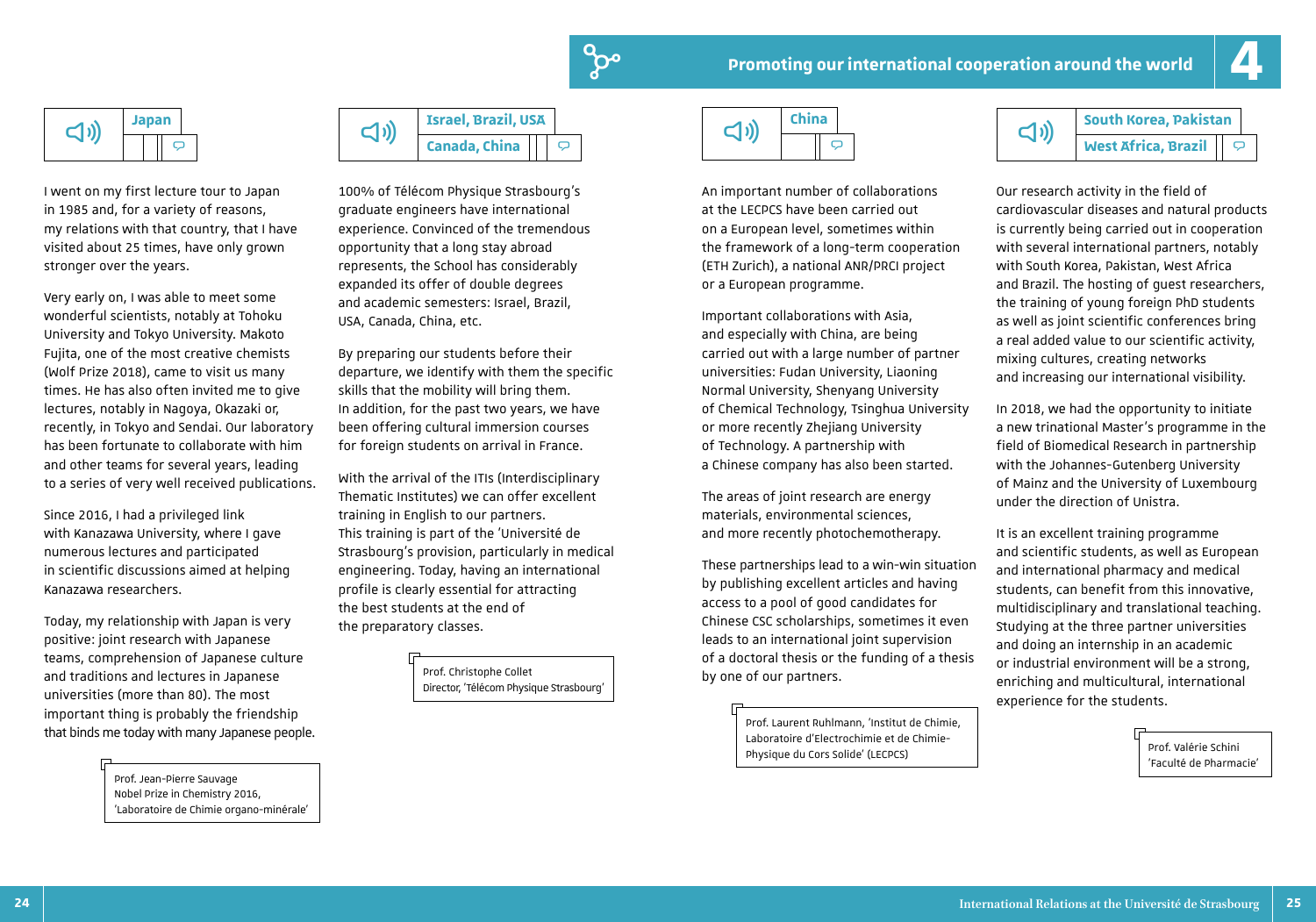



I went on my first lecture tour to Japan in 1985 and, for a variety of reasons, my relations with that country, that I have visited about 25 times, have only grown stronger over the years.

Very early on, I was able to meet some wonderful scientists, notably at Tohoku University and Tokyo University. Makoto Fujita, one of the most creative chemists (Wolf Prize 2018), came to visit us many times. He has also often invited me to give lectures, notably in Nagoya, Okazaki or, recently, in Tokyo and Sendai. Our laboratory has been fortunate to collaborate with him and other teams for several years, leading to a series of very well received publications.

Since 2016, I had a privileged link with Kanazawa University, where I gave numerous lectures and participated in scientific discussions aimed at helping Kanazawa researchers.

Today, my relationship with Japan is very positive: joint research with Japanese teams, comprehension of Japanese culture and traditions and lectures in Japanese universities (more than 80). The most important thing is probably the friendship that binds me today with many Japanese people.

> Prof. Jean-Pierre Sauvage Nobel Prize in Chemistry 2016, 'Laboratoire de Chimie organo-minérale'



100% of Télécom Physique Strasbourg's graduate engineers have international experience. Convinced of the tremendous opportunity that a long stay abroad represents, the School has considerably expanded its offer of double degrees and academic semesters: Israel, Brazil, USA, Canada, China, etc.

By preparing our students before their departure, we identify with them the specific skills that the mobility will bring them. In addition, for the past two years, we have been offering cultural immersion courses for foreign students on arrival in France.

With the arrival of the ITIs (Interdisciplinary Thematic Institutes) we can offer excellent training in English to our partners. This training is part of the 'Université de Strasbourg's provision, particularly in medical engineering. Today, having an international profile is clearly essential for attracting the best students at the end of the preparatory classes.

> Prof. Christophe Collet Director, 'Télécom Physique Strasbourg'



An important number of collaborations at the LECPCS have been carried out on a European level, sometimes within the framework of a long-term cooperation (ETH Zurich), a national ANR/PRCI project or a European programme.

Important collaborations with Asia, and especially with China, are being carried out with a large number of partner universities: Fudan University, Liaoning Normal University, Shenyang University of Chemical Technology, Tsinghua University or more recently Zhejiang University of Technology. A partnership with a Chinese company has also been started.

The areas of joint research are energy materials, environmental sciences, and more recently photochemotherapy.

These partnerships lead to a win-win situation by publishing excellent articles and having access to a pool of good candidates for Chinese CSC scholarships, sometimes it even leads to an international joint supervision of a doctoral thesis or the funding of a thesis by one of our partners.

> Prof. Laurent Ruhlmann, 'Institut de Chimie, Laboratoire d'Electrochimie et de Chimie-Physique du Cors Solide' (LECPCS)

| $\Box$ | <b>South Korea, Pakistan</b> |  |  |  |
|--------|------------------------------|--|--|--|
|        | <b>West Africa, Brazil</b>   |  |  |  |

Our research activity in the field of cardiovascular diseases and natural products is currently being carried out in cooperation with several international partners, notably with South Korea, Pakistan, West Africa and Brazil. The hosting of guest researchers, the training of young foreign PhD students as well as joint scientific conferences bring a real added value to our scientific activity, mixing cultures, creating networks and increasing our international visibility.

In 2018, we had the opportunity to initiate a new trinational Master's programme in the field of Biomedical Research in partnership with the Johannes-Gutenberg University of Mainz and the University of Luxembourg under the direction of Unistra.

It is an excellent training programme and scientific students, as well as European and international pharmacy and medical students, can benefit from this innovative, multidisciplinary and translational teaching. Studying at the three partner universities and doing an internship in an academic or industrial environment will be a strong, enriching and multicultural, international experience for the students.

> Prof. Valérie Schini 'Faculté de Pharmacie'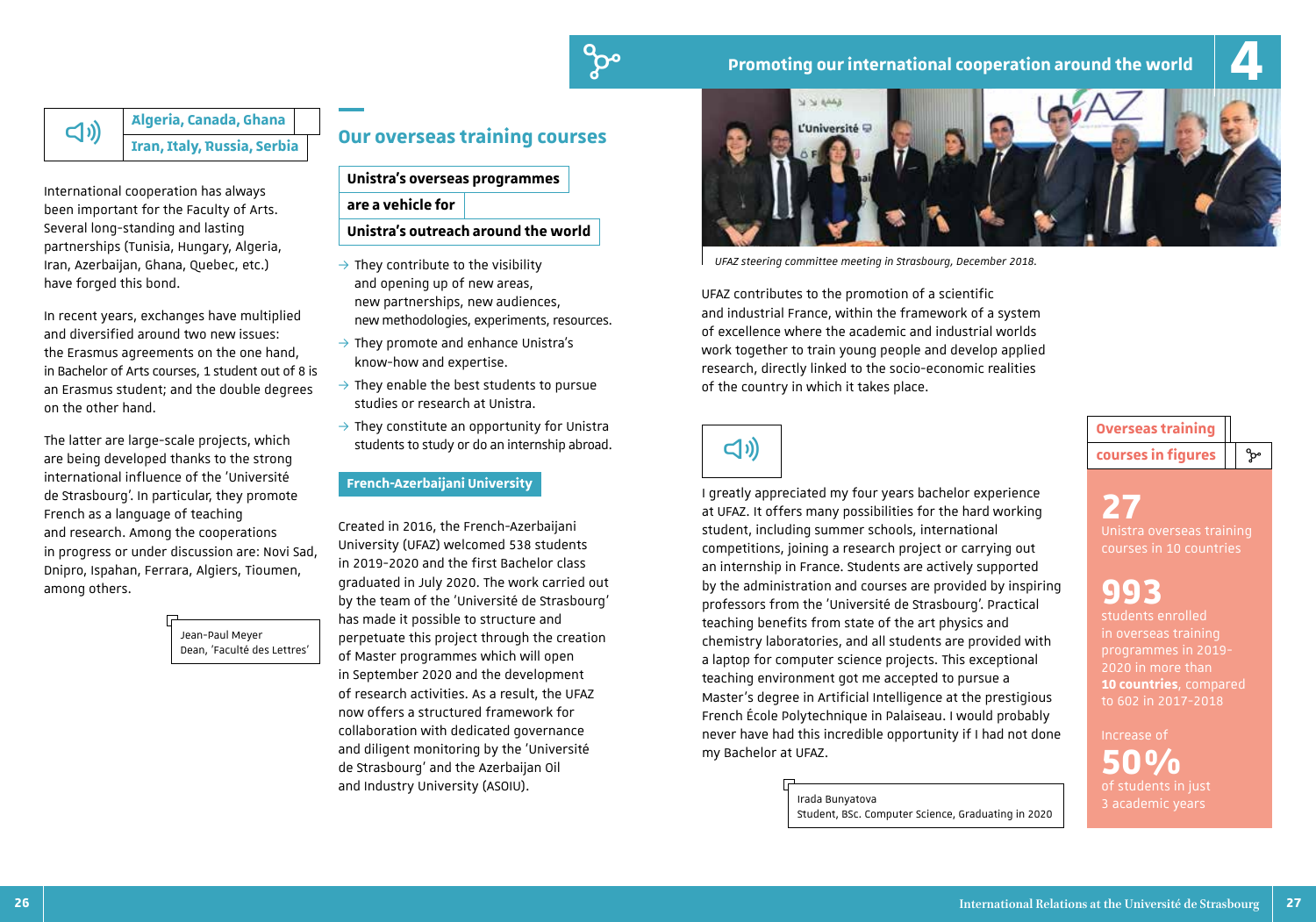

**Algeria, Canada, Ghana** ^ **Iran, Italy, Russia, Serbia**

International cooperation has always been important for the Faculty of Arts. Several long-standing and lasting partnerships (Tunisia, Hungary, Algeria, Iran, Azerbaijan, Ghana, Quebec, etc.) have forged this bond.

In recent years, exchanges have multiplied and diversified around two new issues: the Erasmus agreements on the one hand, in Bachelor of Arts courses, 1 student out of 8 is an Erasmus student; and the double degrees on the other hand.

The latter are large-scale projects, which are being developed thanks to the strong international influence of the 'Université de Strasbourg'. In particular, they promote French as a language of teaching and research. Among the cooperations in progress or under discussion are: Novi Sad, Dnipro, Ispahan, Ferrara, Algiers, Tioumen, among others.

> Jean-Paul Meyer Dean, 'Faculté des Lettres'

### **Our overseas training courses**

**Unistra's overseas programmes** 

**are a vehicle for** 

**Unistra's outreach around the world**

- $\rightarrow$  They contribute to the visibility and opening up of new areas, new partnerships, new audiences, new methodologies, experiments, resources.
- $\rightarrow$  They promote and enhance Unistra's know-how and expertise.
- $\rightarrow$  They enable the best students to pursue studies or research at Unistra.
- $\rightarrow$  They constitute an opportunity for Unistra students to study or do an internship abroad.

### **French-Azerbaijani University**

Created in 2016, the French-Azerbaijani University (UFAZ) welcomed 538 students in 2019-2020 and the first Bachelor class graduated in July 2020. The work carried out by the team of the 'Université de Strasbourg' has made it possible to structure and perpetuate this project through the creation of Master programmes which will open in September 2020 and the development of research activities. As a result, the UFAZ now offers a structured framework for collaboration with dedicated governance and diligent monitoring by the 'Université de Strasbourg' and the Azerbaijan Oil and Industry University (ASOIU).



*UFAZ steering committee meeting in Strasbourg, December 2018.*

UFAZ contributes to the promotion of a scientific and industrial France, within the framework of a system of excellence where the academic and industrial worlds work together to train young people and develop applied research, directly linked to the socio-economic realities of the country in which it takes place.

 $\lhd$ 

I greatly appreciated my four years bachelor experience at UFAZ. It offers many possibilities for the hard working student, including summer schools, international competitions, joining a research project or carrying out an internship in France. Students are actively supported by the administration and courses are provided by inspiring professors from the 'Université de Strasbourg'. Practical teaching benefits from state of the art physics and chemistry laboratories, and all students are provided with a laptop for computer science projects. This exceptional teaching environment got me accepted to pursue a Master's degree in Artificial Intelligence at the prestigious French École Polytechnique in Palaiseau. I would probably never have had this incredible opportunity if I had not done my Bachelor at UFAZ.

> **Irada Bunyatova**<br>**Irada Bunyatova**<br> **Irada Bunyatova** Student, BSc. Computer Science, Graduating in 2020

**Overseas training courses in figures**  $\vert \cdot \rangle$ 

**27** Unistra overseas training courses in 10 countries

# **993** students enrolled

in overseas training programmes in 2019- **10 countries**, compared to 602 in 2017-2018

Increase of **50%**<br>of students in just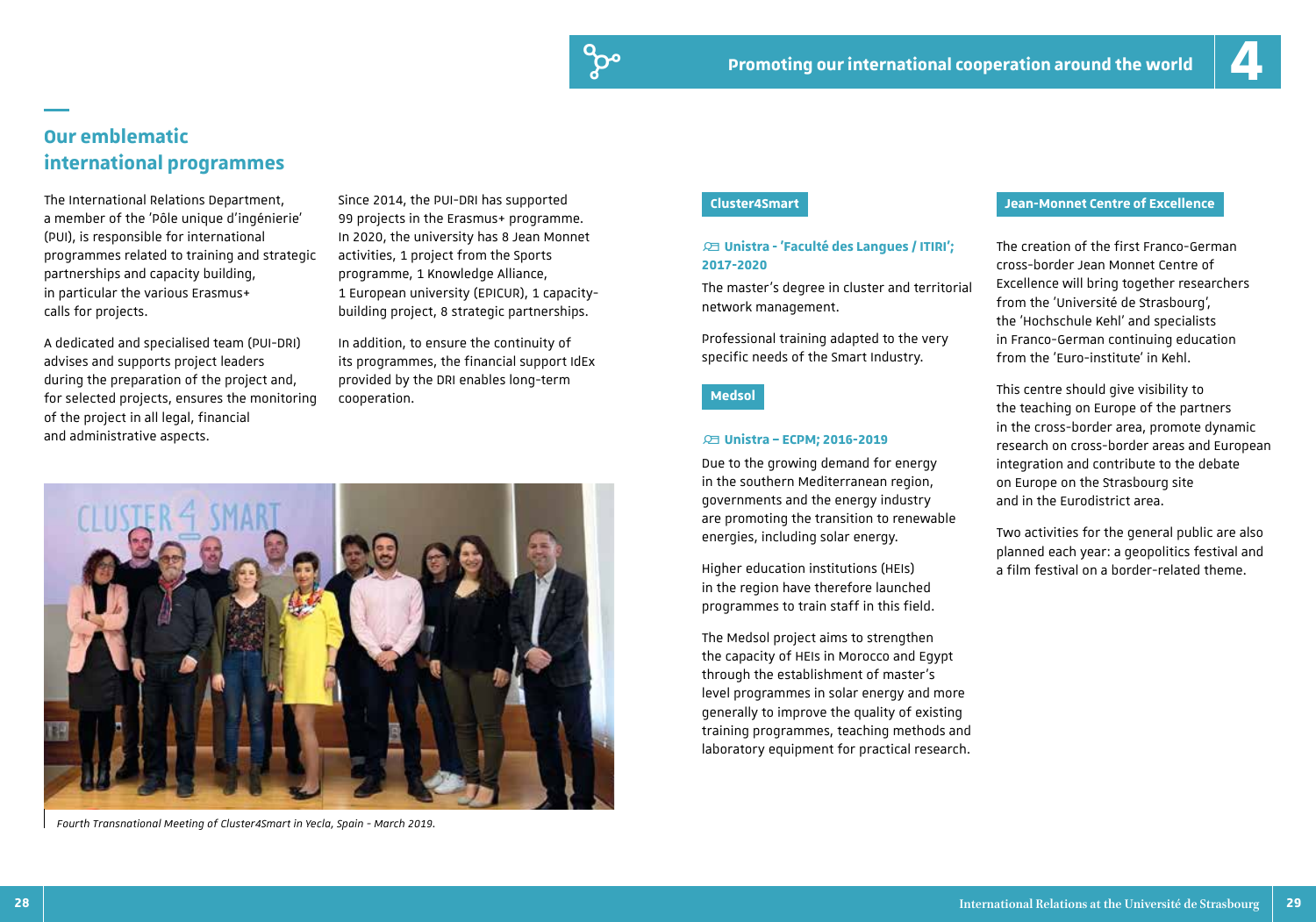### **Our emblematic international programmes**

The International Relations Department, a member of the 'Pôle unique d'ingénierie' (PUI), is responsible for international programmes related to training and strategic partnerships and capacity building, in particular the various Erasmus+ calls for projects.

A dedicated and specialised team (PUI-DRI) advises and supports project leaders during the preparation of the project and, for selected projects, ensures the monitoring of the project in all legal, financial and administrative aspects. **All and According to the United States and According to the Unistra – ECPM; 2016-2019** 

Since 2014, the PUI-DRI has supported 99 projects in the Erasmus+ programme. In 2020, the university has 8 Jean Monnet activities, 1 project from the Sports programme, 1 Knowledge Alliance, 1 European university (EPICUR), 1 capacitybuilding project, 8 strategic partnerships.

In addition, to ensure the continuity of its programmes, the financial support IdEx provided by the DRI enables long-term cooperation.



*Fourth Transnational Meeting of Cluster4Smart in Yecla, Spain - March 2019.*

### = **Unistra - 'Faculté des Langues / ITIRI'; 2017-2020**

The master's degree in cluster and territorial network management.

Professional training adapted to the very specific needs of the Smart Industry.

### **Medsol**

Due to the growing demand for energy in the southern Mediterranean region, governments and the energy industry are promoting the transition to renewable energies, including solar energy.

Higher education institutions (HEIs) in the region have therefore launched programmes to train staff in this field.

The Medsol project aims to strengthen the capacity of HEIs in Morocco and Egypt through the establishment of master's level programmes in solar energy and more generally to improve the quality of existing training programmes, teaching methods and laboratory equipment for practical research.

### **Cluster4Smart Jean-Monnet Centre of Excellence**

The creation of the first Franco-German cross-border Jean Monnet Centre of Excellence will bring together researchers from the 'Université de Strasbourg', the 'Hochschule Kehl' and specialists in Franco-German continuing education from the 'Euro-institute' in Kehl.

This centre should give visibility to the teaching on Europe of the partners in the cross-border area, promote dynamic research on cross-border areas and European integration and contribute to the debate on Europe on the Strasbourg site and in the Eurodistrict area.

Two activities for the general public are also planned each year: a geopolitics festival and a film festival on a border-related theme.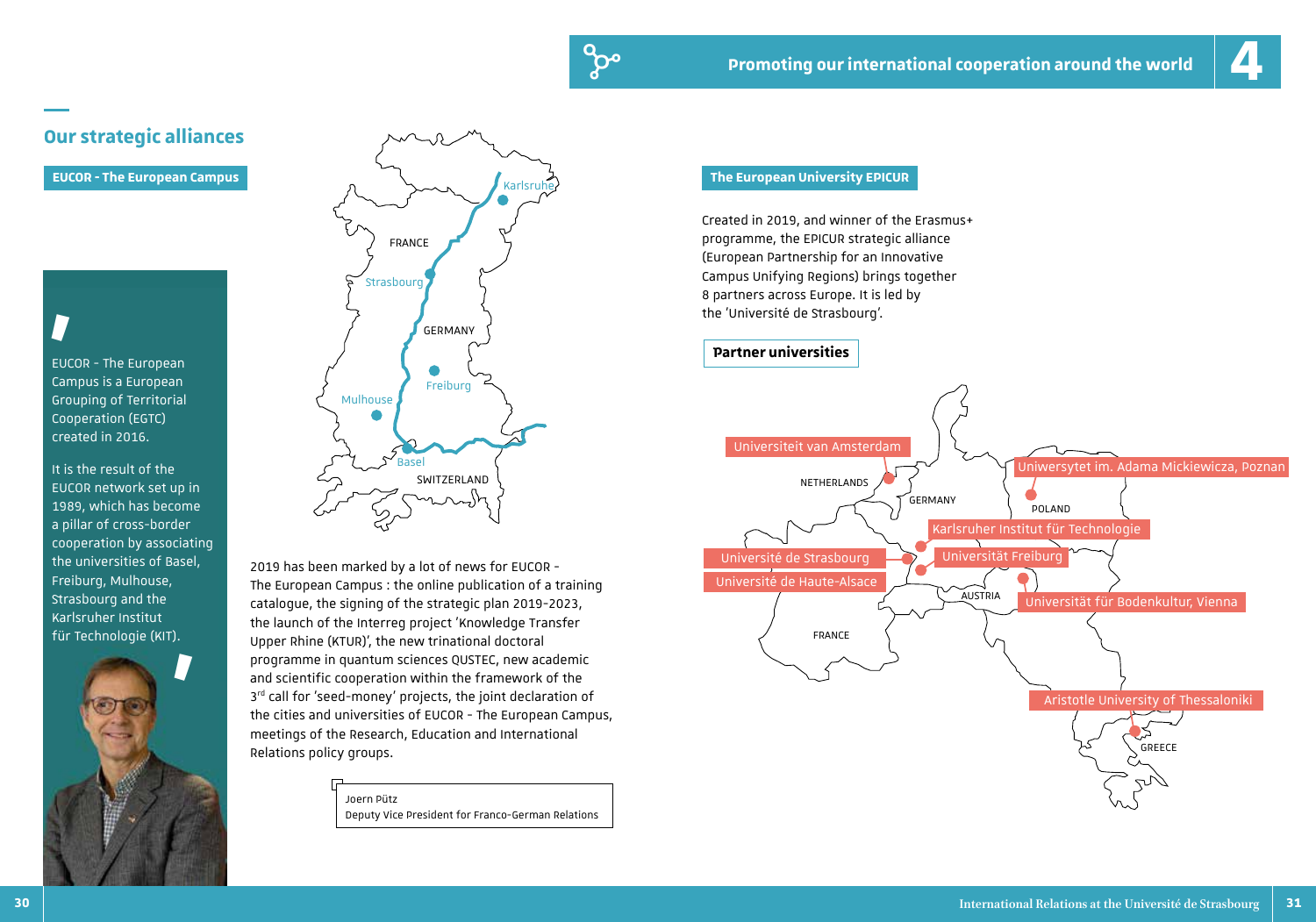

### **Our strategic alliances**

# **'**

EUCOR - The European Campus is a European Grouping of Territorial Cooperation (EGTC) created in 2016.

It is the result of the EUCOR network set up in 1989, which has become a pillar of cross-border cooperation by associating the universities of Basel, Freiburg, Mulhouse, Strasbourg and the Karlsruher Institut





2019 has been marked by a lot of news for EUCOR - The European Campus : the online publication of a training catalogue, the signing of the strategic plan 2019-2023, the launch of the Interreg project 'Knowledge Transfer für Technologie (KIT). The Upper Rhine (KTUR)', the new trinational doctoral  $\left\{\begin{array}{ccc} \end{array}\right.$ programme in quantum sciences QUSTEC, new academic and scientific cooperation within the framework of the  $3<sup>rd</sup>$  call for 'seed-money' projects, the joint declaration of the cities and universities of EUCOR - The European Campus, meetings of the Research, Education and International Relations policy groups.

> Joern Pütz Deputy Vice President for Franco-German Relations

Created in 2019, and winner of the Erasmus+ programme, the EPICUR strategic alliance (European Partnership for an Innovative Campus Unifying Regions) brings together 8 partners across Europe. It is led by the 'Université de Strasbourg'.



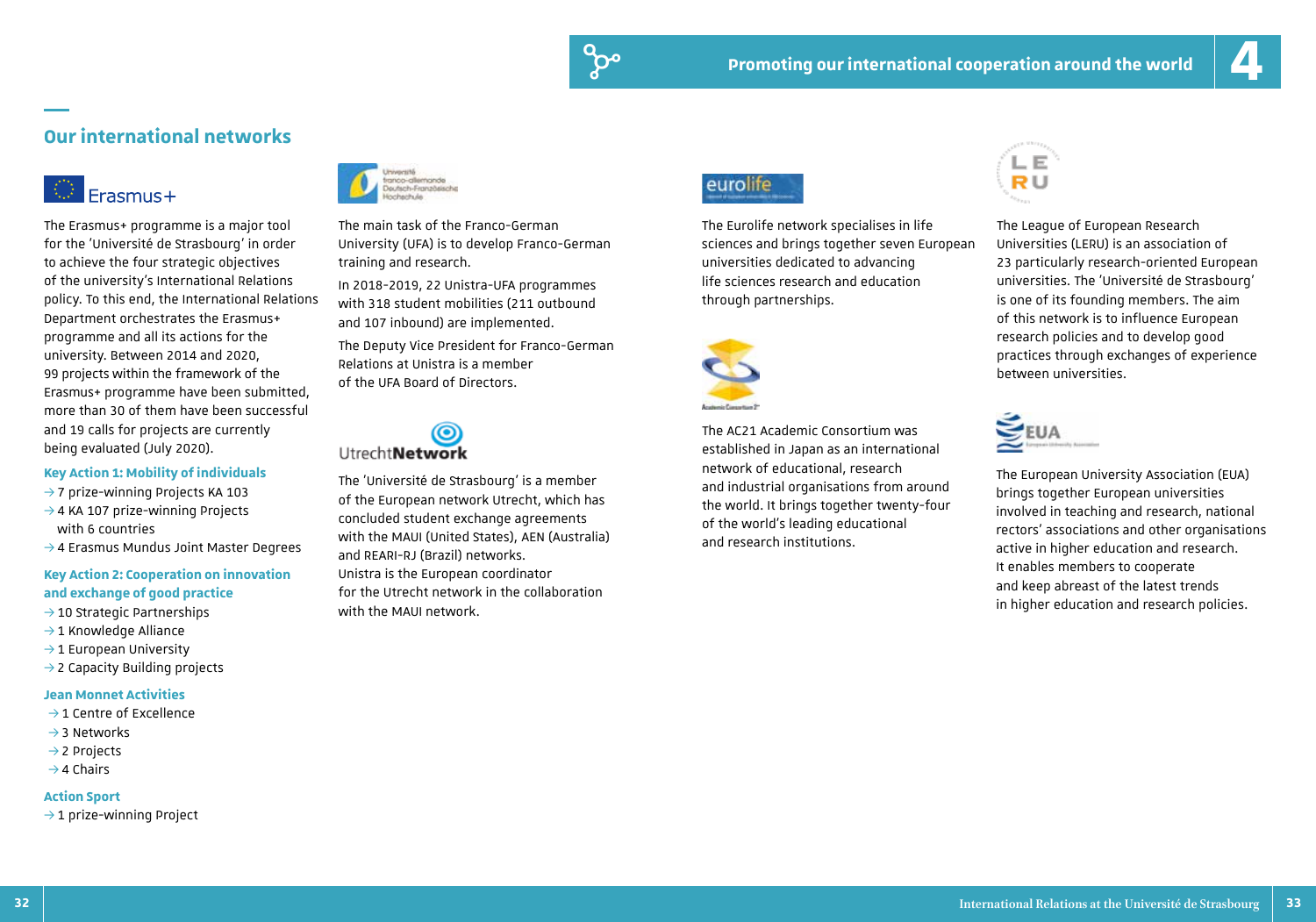### **Our international networks**

# Erasmus+

The Erasmus+ programme is a major tool for the 'Université de Strasbourg' in order to achieve the four strategic objectives of the university's International Relations policy. To this end, the International Relations Department orchestrates the Erasmus+ programme and all its actions for the university. Between 2014 and 2020, 99 projects within the framework of the Erasmus+ programme have been submitted, more than 30 of them have been successful and 19 calls for projects are currently being evaluated (July 2020).

### **Key Action 1: Mobility of individuals**

- $\rightarrow$  7 prize-winning Projects KA 103
- $\rightarrow$  4 KA 107 prize-winning Projects with 6 countries
- $\rightarrow$  4 Erasmus Mundus Joint Master Degrees

### **Key Action 2: Cooperation on innovation and exchange of good practice**

- $\rightarrow$  10 Strategic Partnerships
- $\rightarrow$  1 Knowledge Alliance
- $\rightarrow$  1 European University
- $\rightarrow$  2 Capacity Building projects

### **Jean Monnet Activities**

- $\rightarrow$  1 Centre of Excellence
- $\rightarrow$  3 Networks
- $\rightarrow$  2 Projects
- $\rightarrow$  4 Chairs

### **Action Sport**

 $\rightarrow$  1 prize-winning Project



The main task of the Franco-German University (UFA) is to develop Franco-German training and research.

In 2018-2019, 22 Unistra-UFA programmes with 318 student mobilities (211 outbound and 107 inbound) are implemented.

The Deputy Vice President for Franco-German Relations at Unistra is a member of the UFA Board of Directors.

# **UtrechtNetwork**

The 'Université de Strasbourg' is a member of the European network Utrecht, which has concluded student exchange agreements with the MAUI (United States), AEN (Australia) and REARI-RJ (Brazil) networks. Unistra is the European coordinator for the Utrecht network in the collaboration with the MAUI network.

### eurolife

The Eurolife network specialises in life sciences and brings together seven European universities dedicated to advancing life sciences research and education through partnerships.



The AC21 Academic Consortium was established in Japan as an international network of educational, research and industrial organisations from around the world. It brings together twenty-four of the world's leading educational and research institutions.



The League of European Research Universities (LERU) is an association of 23 particularly research-oriented European universities. The 'Université de Strasbourg' is one of its founding members. The aim of this network is to influence European research policies and to develop good practices through exchanges of experience between universities.



The European University Association (EUA) brings together European universities involved in teaching and research, national rectors' associations and other organisations active in higher education and research. It enables members to cooperate and keep abreast of the latest trends in higher education and research policies.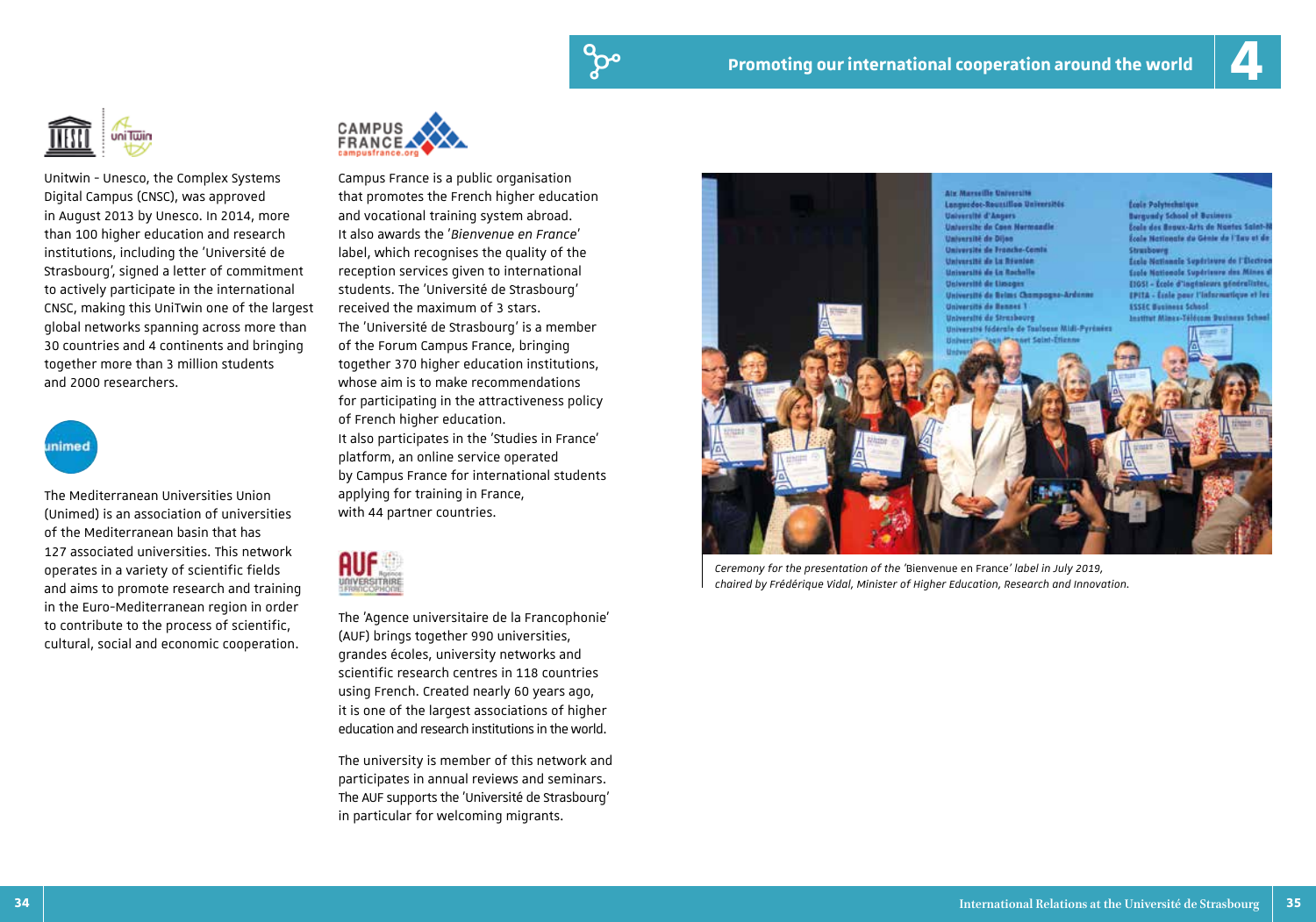

Unitwin - Unesco, the Complex Systems Digital Campus (CNSC), was approved in August 2013 by Unesco. In 2014, more than 100 higher education and research institutions, including the 'Université de Strasbourg', signed a letter of commitment to actively participate in the international CNSC, making this UniTwin one of the largest global networks spanning across more than 30 countries and 4 continents and bringing together more than 3 million students and 2000 researchers.



The Mediterranean Universities Union (Unimed) is an association of universities of the Mediterranean basin that has 127 associated universities. This network operates in a variety of scientific fields and aims to promote research and training in the Euro-Mediterranean region in order to contribute to the process of scientific, cultural, social and economic cooperation.



Campus France is a public organisation that promotes the French higher education and vocational training system abroad. It also awards the '*Bienvenue en France*' label, which recognises the quality of the reception services given to international students. The 'Université de Strasbourg' received the maximum of 3 stars. The 'Université de Strasbourg' is a member of the Forum Campus France, bringing together 370 higher education institutions, whose aim is to make recommendations for participating in the attractiveness policy of French higher education. It also participates in the 'Studies in France' platform, an online service operated by Campus France for international students applying for training in France, with 44 partner countries.



The 'Agence universitaire de la Francophonie' (AUF) brings together 990 universities, grandes écoles, university networks and scientific research centres in 118 countries using French. Created nearly 60 years ago, it is one of the largest associations of higher education and research institutions in the world.

The university is member of this network and participates in annual reviews and seminars. The AUF supports the 'Université de Strasbourg' in particular for welcoming migrants.



*Ceremony for the presentation of the '*Bienvenue en France*' label in July 2019, chaired by Frédérique Vidal, Minister of Higher Education, Research and Innovation.*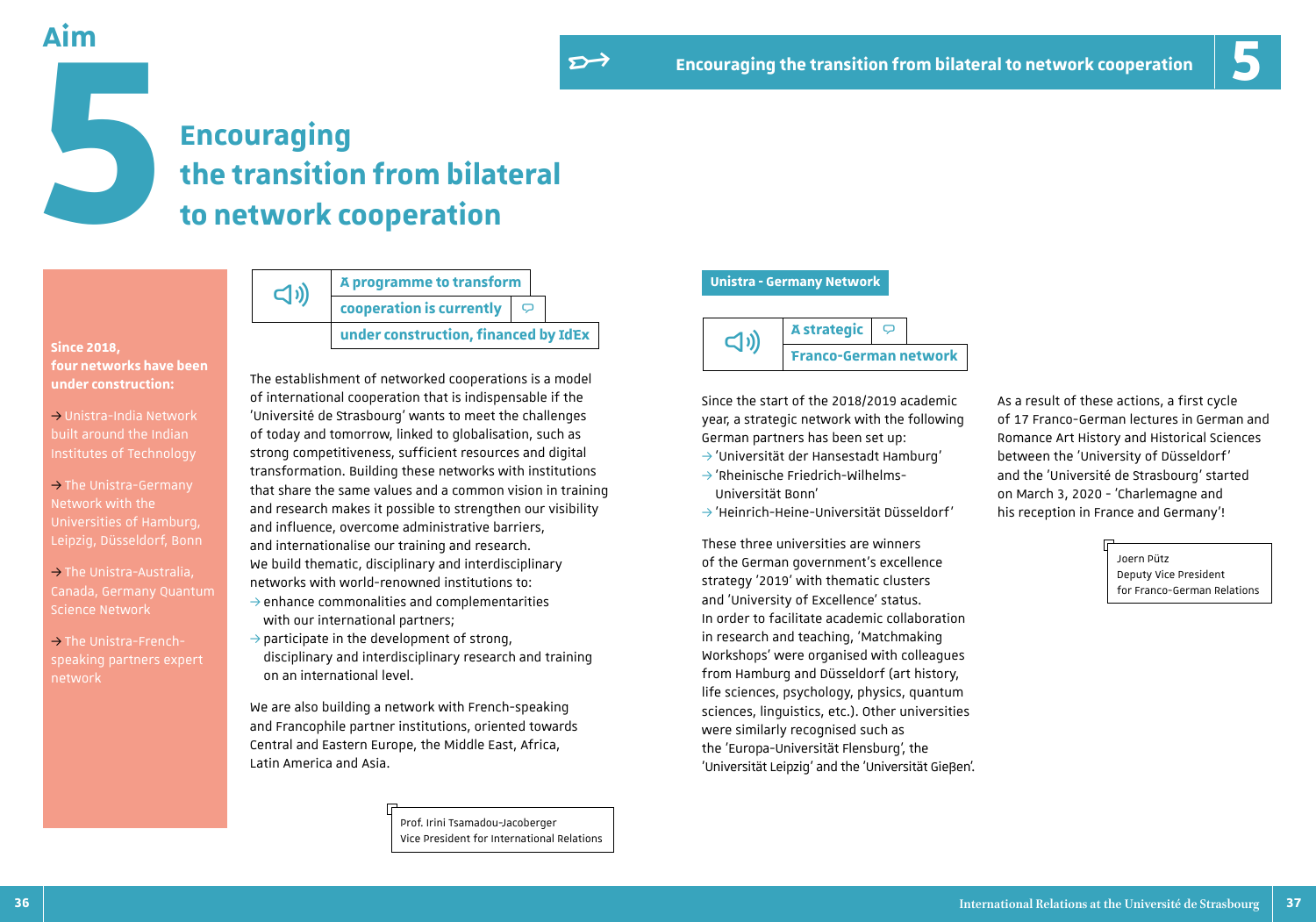**Aim**

# **Encouraging the transition from bilateral to network cooperation**

**Since 2018, four networks have been under construction:**

- $\rightarrow$  Unistra-India Network built around the Indian
- $\rightarrow$  The Unistra-Germany Network with the Universities of Hamburg, Leipzig, Düsseldorf, Bonn
- $\rightarrow$  The Unistra-Australia, Canada, Germany Quantum Science Network
- $\rightarrow$  The Unistra-Frenchspeaking partners expert network

**A programme to transform cooperation is currently**  $\triangleright$  $\Box$ 

**under construction, financed by IdEx**

The establishment of networked cooperations is a model of international cooperation that is indispensable if the 'Université de Strasbourg' wants to meet the challenges of today and tomorrow, linked to globalisation, such as strong competitiveness, sufficient resources and digital transformation. Building these networks with institutions that share the same values and a common vision in training and research makes it possible to strengthen our visibility and influence, overcome administrative barriers, and internationalise our training and research. We build thematic, disciplinary and interdisciplinary networks with world-renowned institutions to:  $\rightarrow$  enhance commonalities and complementarities with our international partners;

 $\rightarrow$  participate in the development of strong, disciplinary and interdisciplinary research and training on an international level.

We are also building a network with French-speaking and Francophile partner institutions, oriented towards Central and Eastern Europe, the Middle East, Africa, Latin America and Asia.

> Prof. Irini Tsamadou-Jacoberger Vice President for International Relations

### **Unistra - Germany Network**



Since the start of the 2018/2019 academic year, a strategic network with the following German partners has been set up:

- $\rightarrow$  'Universität der Hansestadt Hamburg'
- $\rightarrow$ 'Rheinische Friedrich-Wilhelms-Universität Bonn'
- 3'Heinrich-Heine-Universität Düsseldorf'

These three universities are winners of the German government's excellence strategy '2019' with thematic clusters and 'University of Excellence' status. In order to facilitate academic collaboration in research and teaching, 'Matchmaking Workshops' were organised with colleagues from Hamburg and Düsseldorf (art history, life sciences, psychology, physics, quantum sciences, linguistics, etc.). Other universities were similarly recognised such as the 'Europa-Universität Flensburg', the 'Universität Leipzig' and the 'Universität Gießen'. As a result of these actions, a first cycle of 17 Franco-German lectures in German and Romance Art History and Historical Sciences between the 'University of Düsseldorf' and the 'Université de Strasbourg' started on March 3, 2020 - 'Charlemagne and his reception in France and Germany'!

> Joern Pütz Deputy Vice President for Franco-German Relations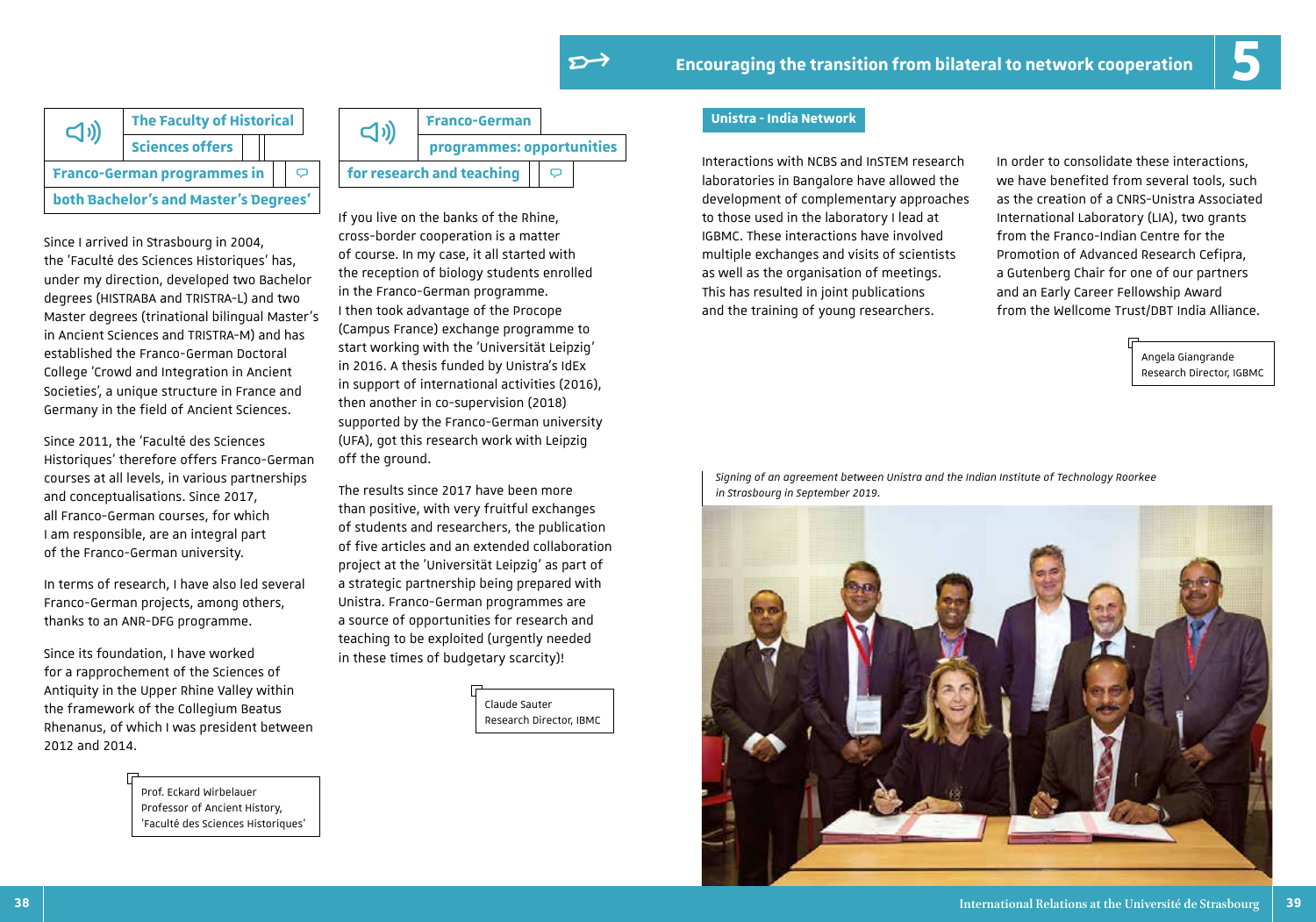



Since I arrived in Strasbourg in 2004, the 'Faculté des Sciences Historiques' has, under my direction, developed two Bachelor degrees (HISTRABA and TRISTRA-L) and two Master degrees (trinational bilingual Master's in Ancient Sciences and TRISTRA-M) and has established the Franco-German Doctoral College 'Crowd and Integration in Ancient Societies', a unique structure in France and Germany in the field of Ancient Sciences.

Since 2011, the 'Faculté des Sciences Historiques' therefore offers Franco-German courses at all levels, in various partnerships and conceptualisations. Since 2017, all Franco-German courses, for which I am responsible, are an integral part of the Franco-German university.

In terms of research, I have also led several Franco-German projects, among others, thanks to an ANR-DFG programme.

Since its foundation, I have worked for a rapprochement of the Sciences of Antiquity in the Upper Rhine Valley within the framework of the Collegium Beatus Rhenanus, of which I was president between 2012 and 2014.

> Prof. Eckard Wirbelauer Professor of Ancient History, 'Faculté des Sciences Historiques'



If you live on the banks of the Rhine, cross-border cooperation is a matter of course. In my case, it all started with the reception of biology students enrolled in the Franco-German programme. I then took advantage of the Procope (Campus France) exchange programme to start working with the 'Universität Leipzig' in 2016. A thesis funded by Unistra's IdEx in support of international activities (2016), then another in co-supervision (2018) supported by the Franco-German university (UFA), got this research work with Leipzig off the ground.

The results since 2017 have been more than positive, with very fruitful exchanges of students and researchers, the publication of five articles and an extended collaboration project at the 'Universität Leipzig' as part of a strategic partnership being prepared with Unistra. Franco-German programmes are a source of opportunities for research and teaching to be exploited (urgently needed in these times of budgetary scarcity)!

> Claude Sauter Research Director, IBMC

### **Unistra - India Network**

Interactions with NCBS and InSTEM research laboratories in Bangalore have allowed the development of complementary approaches to those used in the laboratory I lead at IGBMC. These interactions have involved multiple exchanges and visits of scientists as well as the organisation of meetings. This has resulted in joint publications and the training of young researchers.

In order to consolidate these interactions, we have benefited from several tools, such as the creation of a CNRS-Unistra Associated International Laboratory (LIA), two grants from the Franco-Indian Centre for the Promotion of Advanced Research Cefipra, a Gutenberg Chair for one of our partners and an Early Career Fellowship Award from the Wellcome Trust/DBT India Alliance.

> Angela Giangrande Research Director, IGBMC

*Signing of an agreement between Unistra and the Indian Institute of Technology Roorkee in Strasbourg in September 2019.*

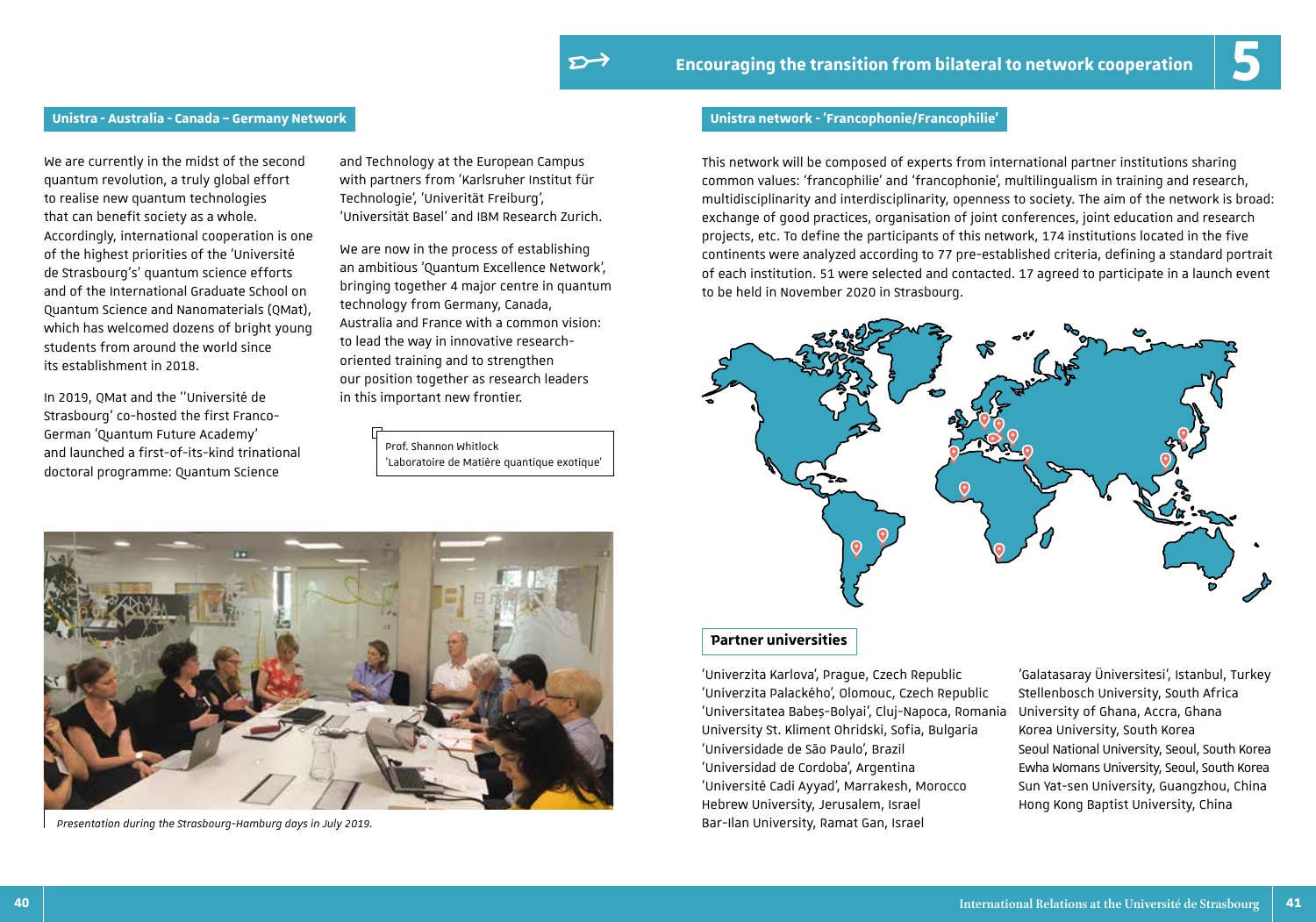### **Unistra - Australia - Canada – Germany Network Unistra network - 'Francophonie/Francophilie'**

We are currently in the midst of the second quantum revolution, a truly global effort to realise new quantum technologies that can benefit society as a whole. Accordingly, international cooperation is one of the highest priorities of the 'Université de Strasbourg's' quantum science efforts and of the International Graduate School on Quantum Science and Nanomaterials (QMat), which has welcomed dozens of bright young students from around the world since its establishment in 2018.

In 2019, QMat and the ''Université de Strasbourg' co-hosted the first Franco-German 'Quantum Future Academy' and launched a first-of-its-kind trinational doctoral programme: Quantum Science

and Technology at the European Campus with partners from 'Karlsruher Institut für Technologie', 'Univerität Freiburg', 'Universität Basel' and IBM Research Zurich.

We are now in the process of establishing an ambitious 'Quantum Excellence Network', bringing together 4 major centre in quantum technology from Germany, Canada, Australia and France with a common vision: to lead the way in innovative researchoriented training and to strengthen our position together as research leaders in this important new frontier.

### Prof. Shannon Whitlock 'Laboratoire de Matière quantique exotique'

This network will be composed of experts from international partner institutions sharing common values: 'francophilie' and 'francophonie', multilingualism in training and research, multidisciplinarity and interdisciplinarity, openness to society. The aim of the network is broad: exchange of good practices, organisation of joint conferences, joint education and research projects, etc. To define the participants of this network, 174 institutions located in the five continents were analyzed according to 77 pre-established criteria, defining a standard portrait of each institution. 51 were selected and contacted. 17 agreed to participate in a launch event to be held in November 2020 in Strasbourg.



### **Partner universities**

'Univerzita Karlova', Prague, Czech Republic 'Univerzita Palackého', Olomouc, Czech Republic 'Universitatea Babeș-Bolyai', Cluj-Napoca, Romania University St. Kliment Ohridski, Sofia, Bulgaria 'Universidade de São Paulo', Brazil 'Universidad de Cordoba', Argentina 'Université Cadi Ayyad', Marrakesh, Morocco Hebrew University, Jerusalem, Israel Bar-Ilan University, Ramat Gan, Israel

'Galatasaray Üniversitesi', Istanbul, Turkey Stellenbosch University, South Africa University of Ghana, Accra, Ghana Korea University, South Korea Seoul National University, Seoul, South Korea Ewha Womans University, Seoul, South Korea Sun Yat-sen University, Guangzhou, China Hong Kong Baptist University, China



*Presentation during the Strasbourg-Hamburg days in July 2019.*